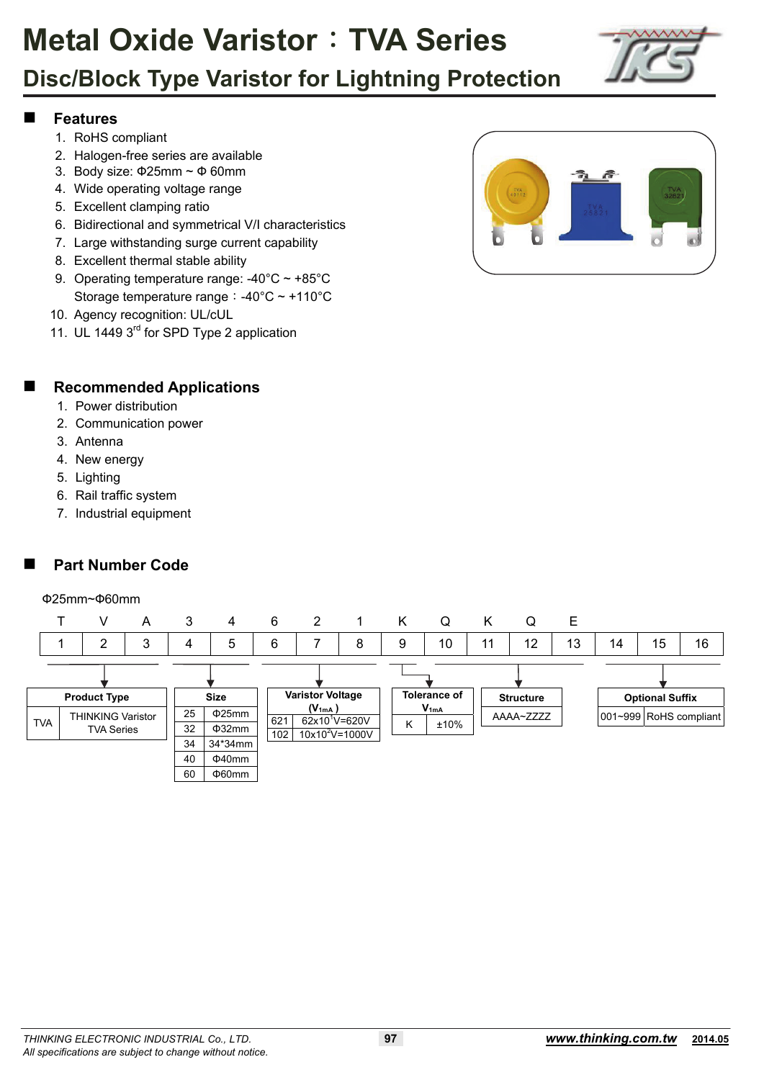

## **Disc/Block Type Varistor for Lightning Protection**

### **Features**

- 1. RoHS compliant
- 2. Halogen-free series are available
- 3. Body size: Ф25mm ~ Ф 60mm
- 4. Wide operating voltage range
- 5. Excellent clamping ratio
- 6. Bidirectional and symmetrical V/I characteristics
- 7. Large withstanding surge current capability
- 8. Excellent thermal stable ability
- 9. Operating temperature range: -40°C ~ +85°C Storage temperature range:-40°C ~ +110°C
- 10. Agency recognition: UL/cUL
- 11. UL 1449 3<sup>rd</sup> for SPD Type 2 application



### **Recommended Applications**

- 1. Power distribution
- 2. Communication power
- 3. Antenna
- 4. New energy
- 5. Lighting
- 6. Rail traffic system
- 7. Industrial equipment

## **Part Number Code**

### Ф25mm~Ф60mm

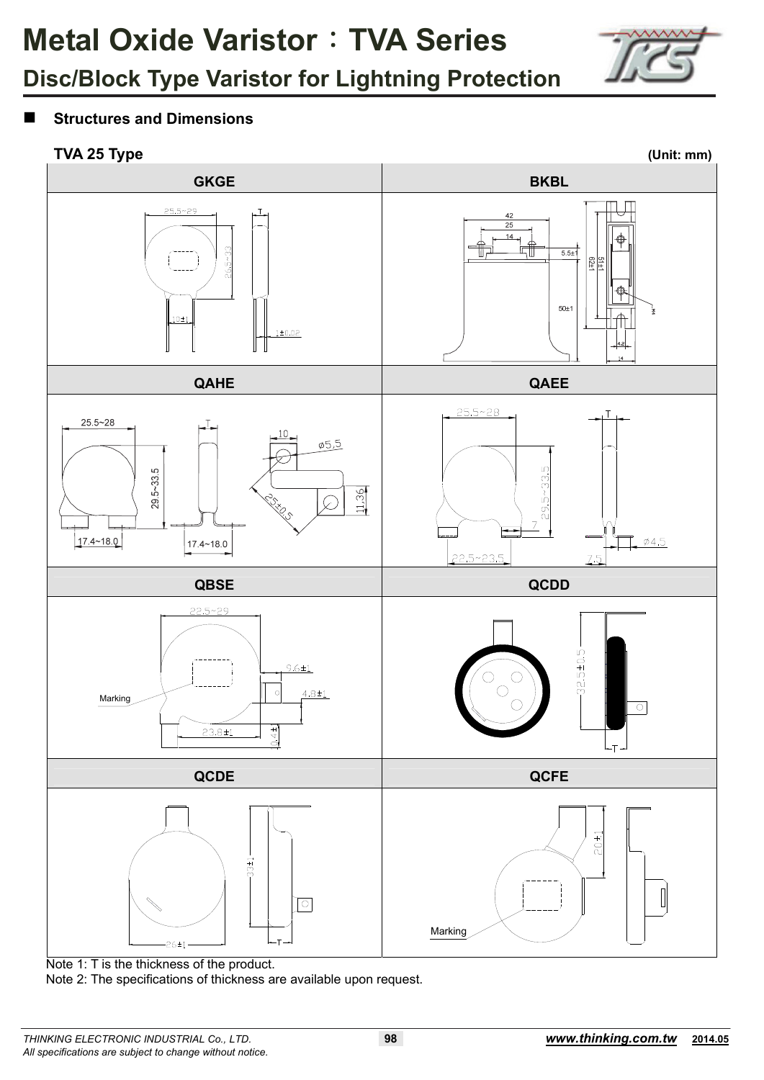

## **Structures and Dimensions**

## **TVA 25 Type (Unit: mm)**



Note 1: T is the thickness of the product.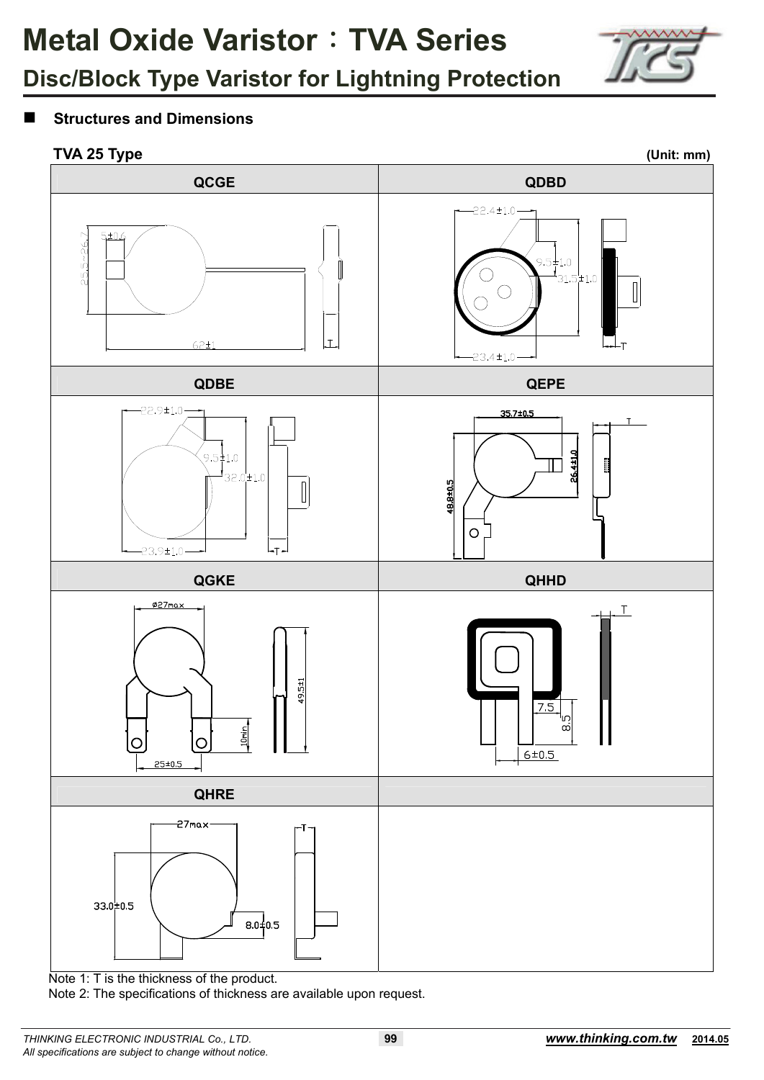

## **Disc/Block Type Varistor for Lightning Protection**

### **Structures and Dimensions**

### **TVA 25 Type (Unit: mm)**



Note 1: T is the thickness of the product.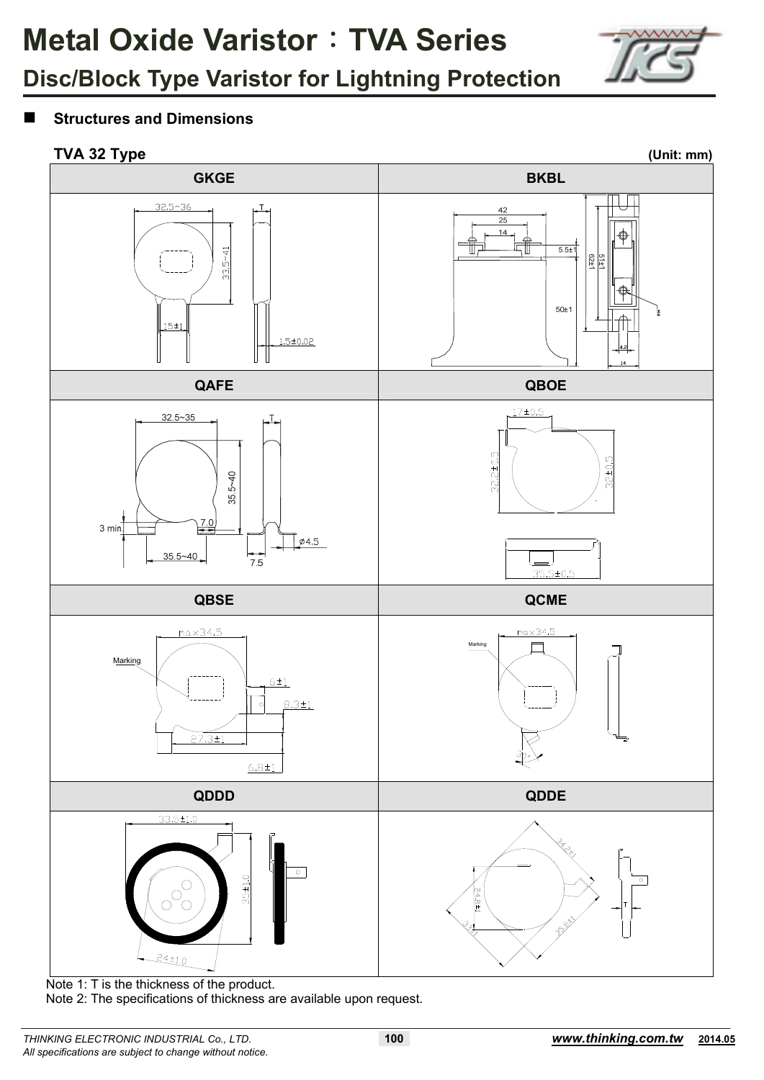

## **Structures and Dimensions**

## **TVA 32 Type (Unit: mm)** (Unit: mm)



Note 1: T is the thickness of the product.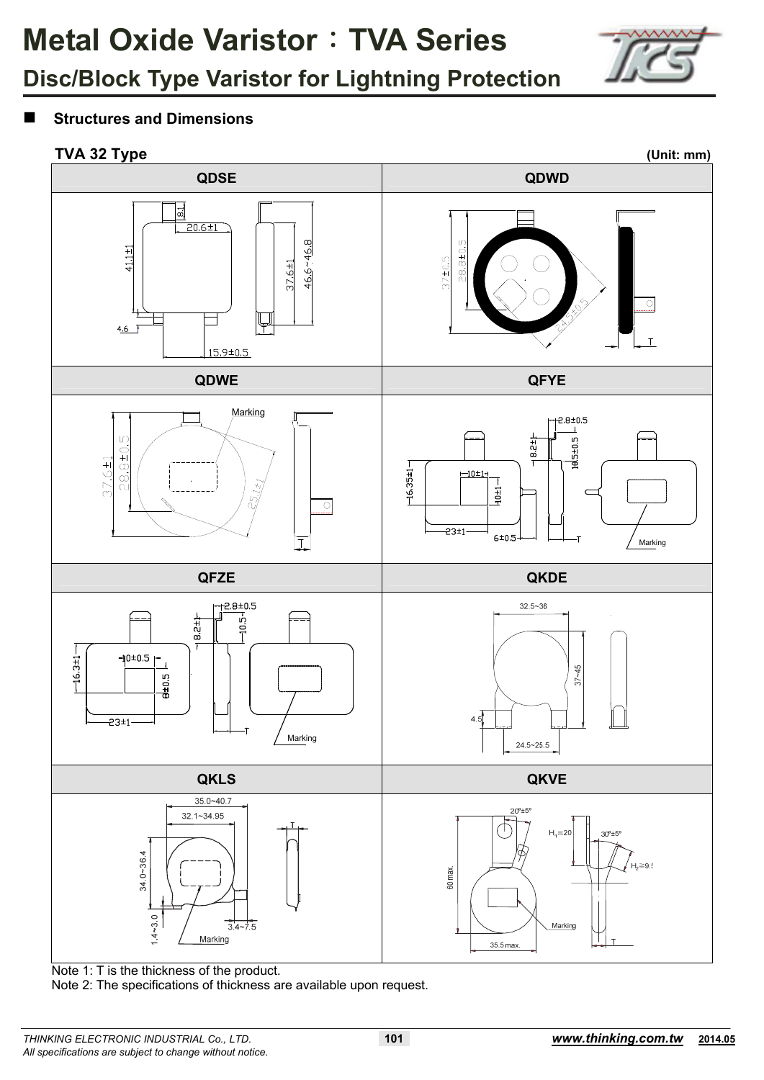

## **Structures and Dimensions**



Note 1: T is the thickness of the product.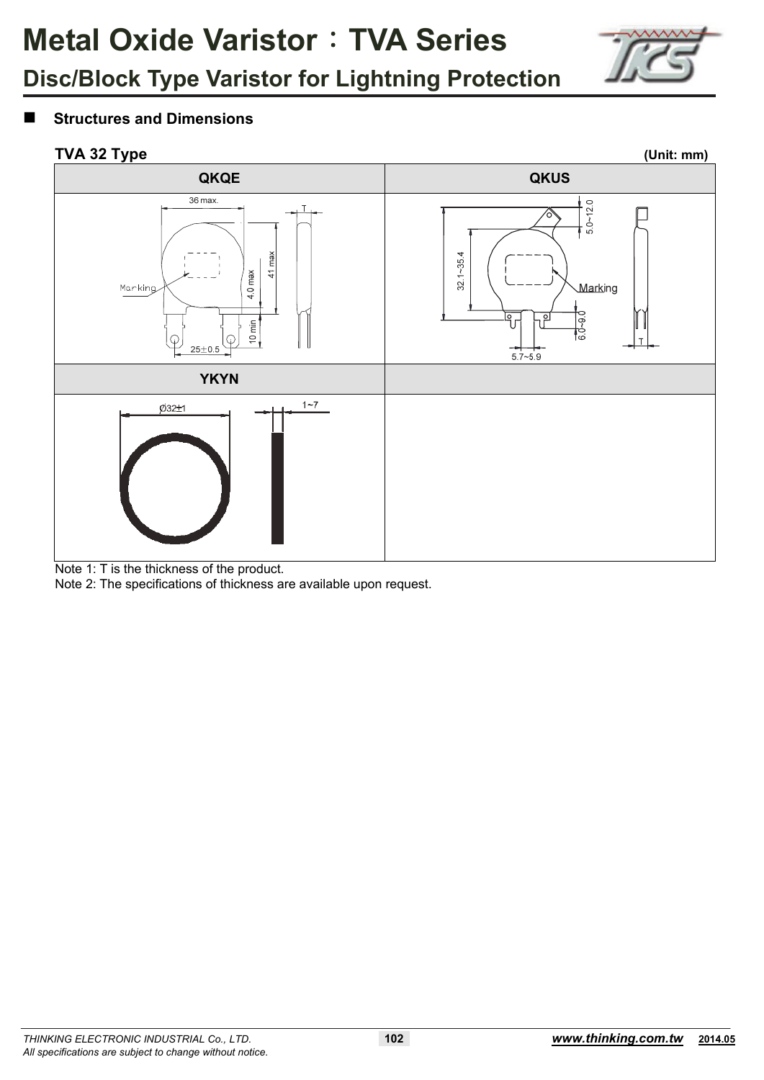

## **Structures and Dimensions**



Note 1: T is the thickness of the product.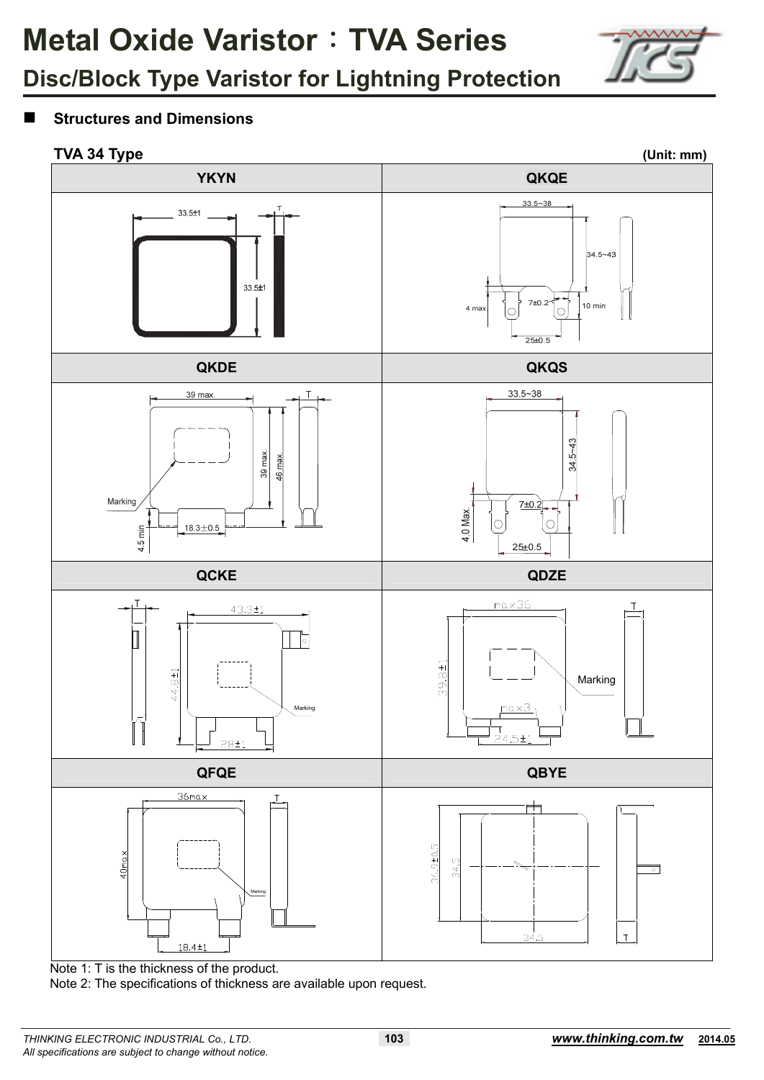

## **Structures and Dimensions**

## **TVA 34 Type (Unit: mm)**

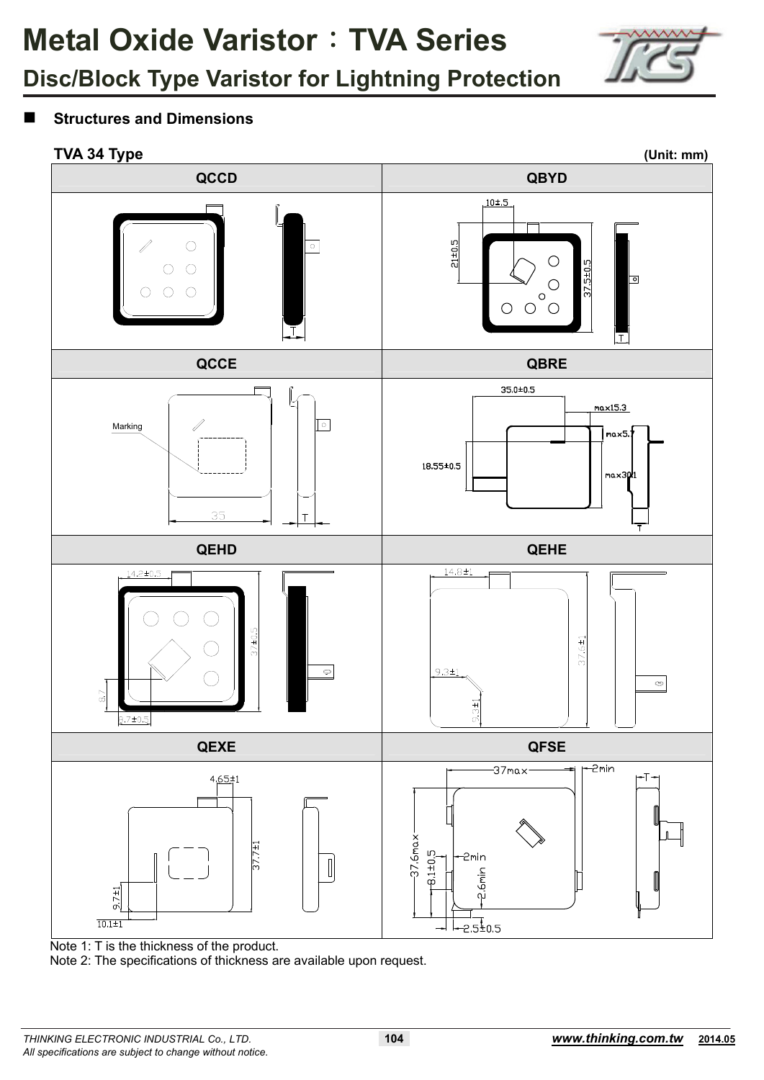

## **Structures and Dimensions**

### **TVA 34 Type (Unit: mm)**



Note 1: T is the thickness of the product.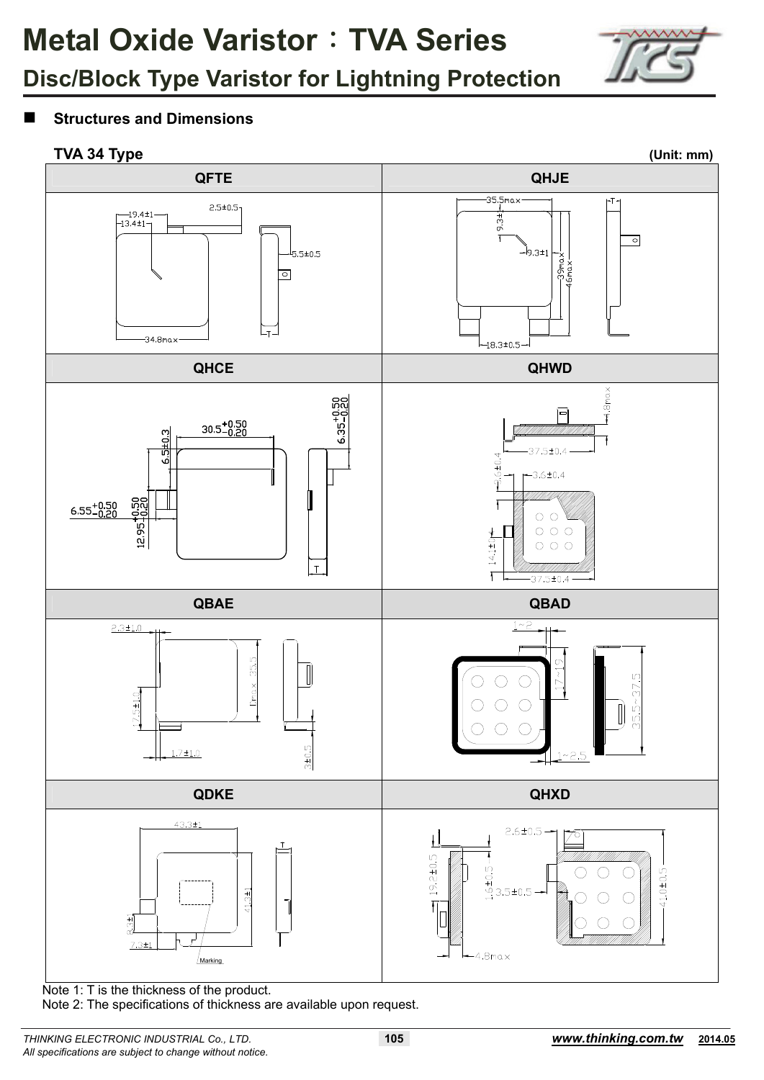

## **Structures and Dimensions**



Note 1: T is the thickness of the product.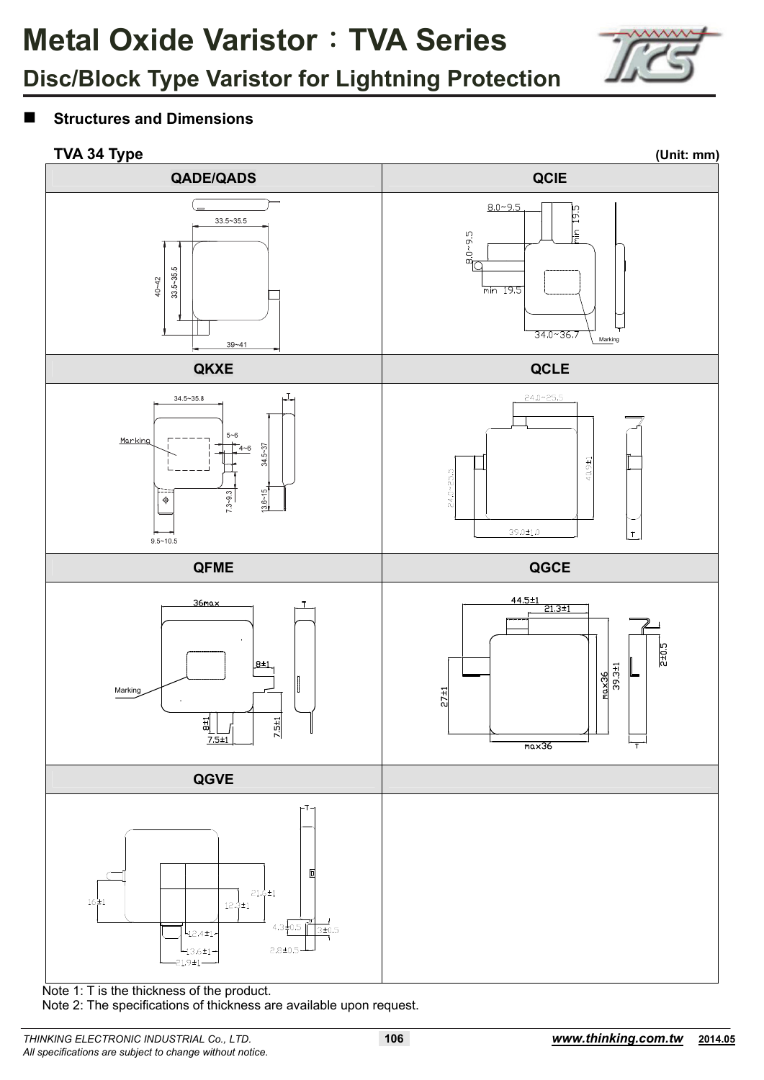

## **Structures and Dimensions**



Note 1: T is the thickness of the product.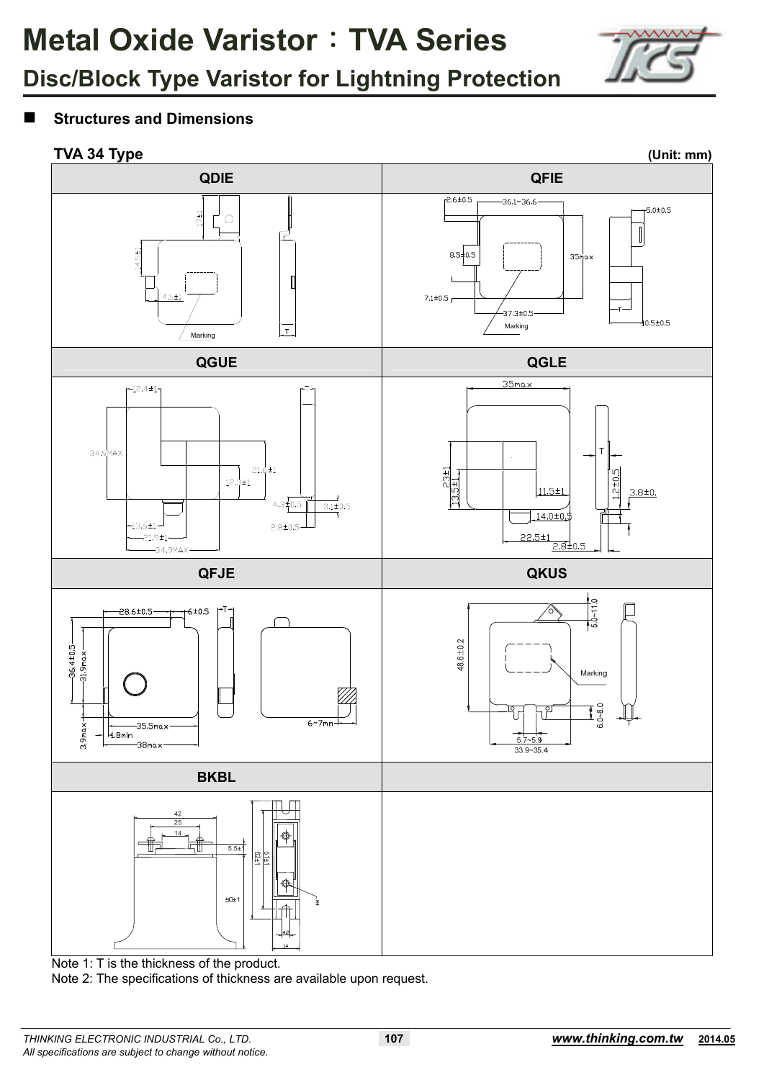

### **Structures and Dimensions**

### **TVA 34 Type (Unit: mm)**



Note 1: T is the thickness of the product.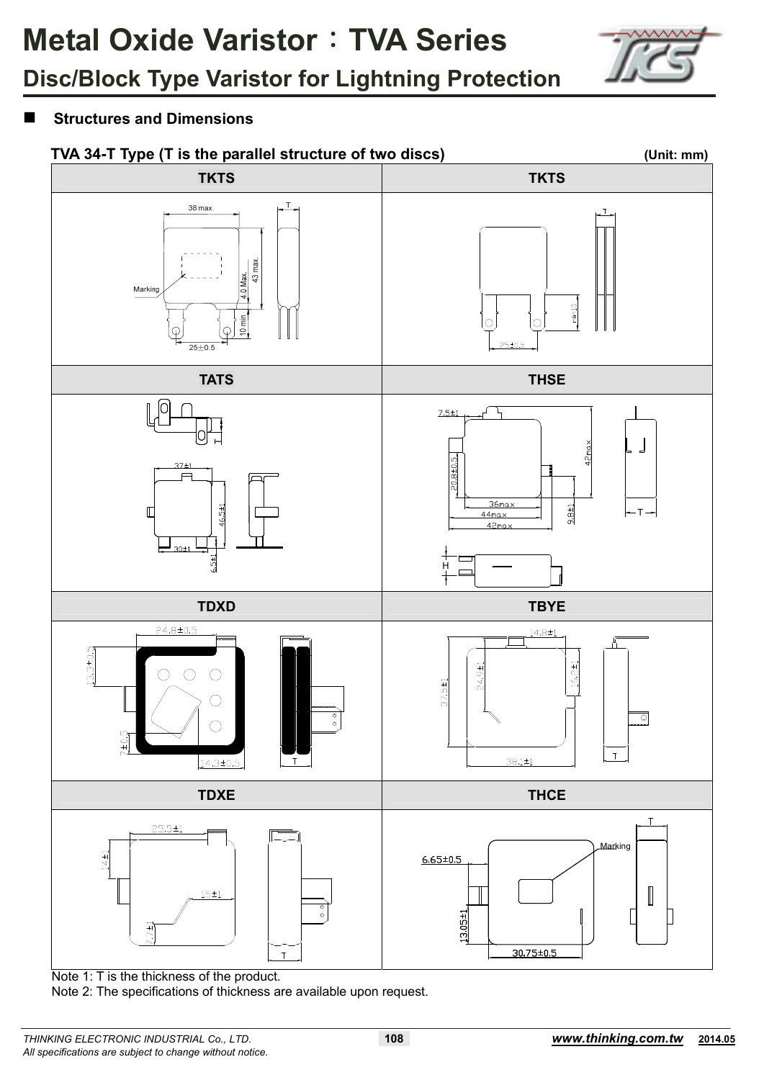

## **Structures and Dimensions**



Note 1: T is the thickness of the product.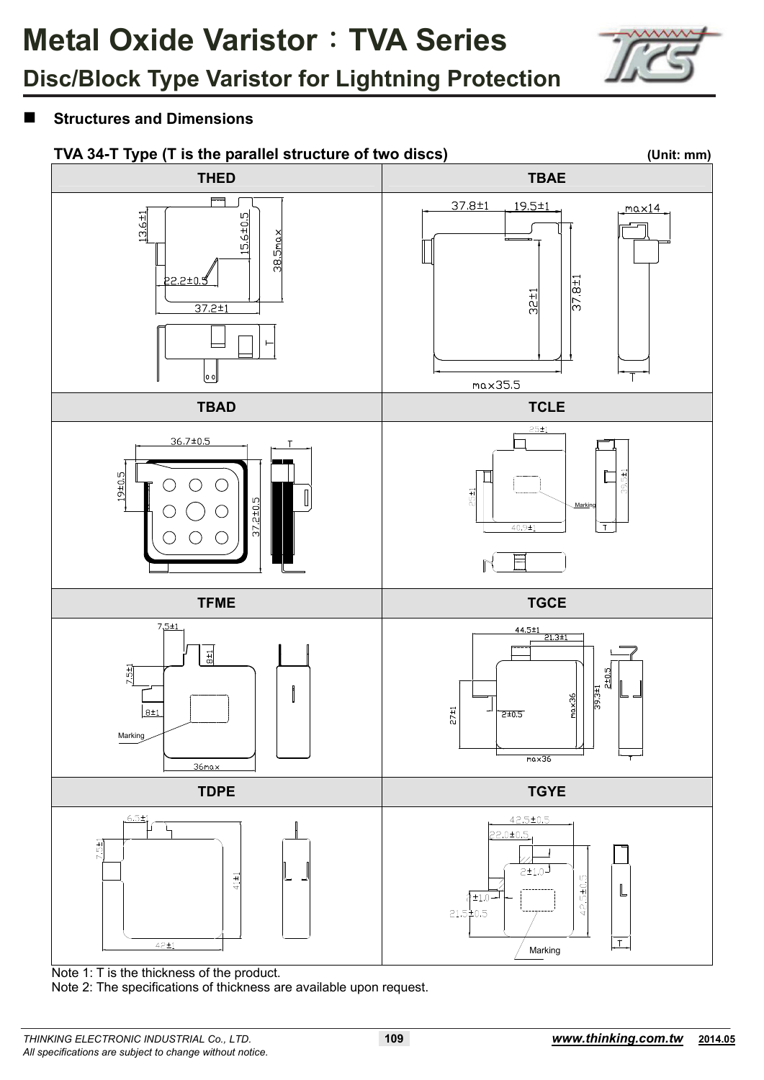

## **Structures and Dimensions**



Note 1: T is the thickness of the product.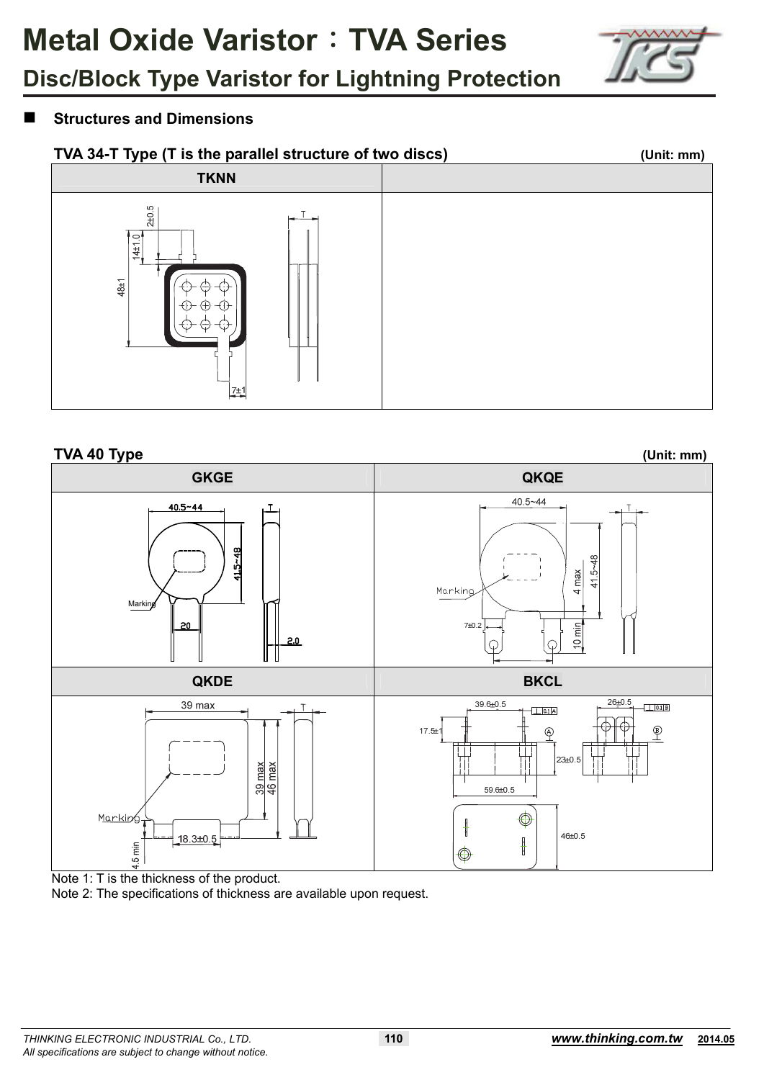

### **Structures and Dimensions**





Note 1: T is the thickness of the product.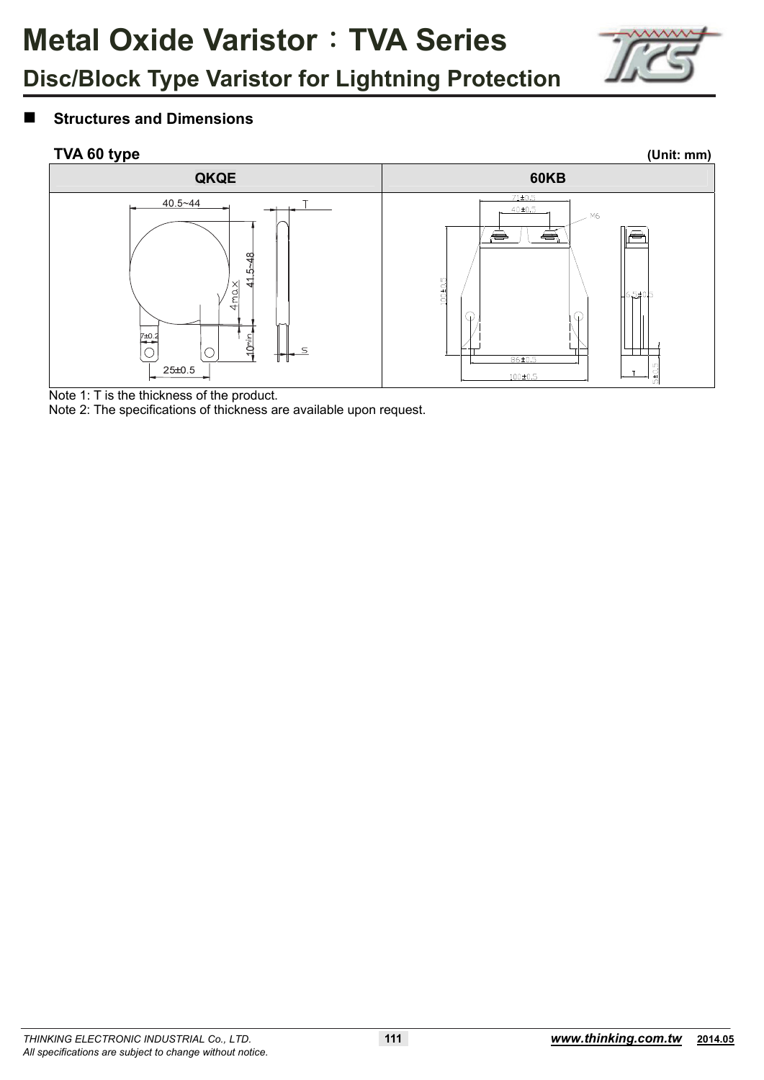

### **Structures and Dimensions**



Note 1: T is the thickness of the product.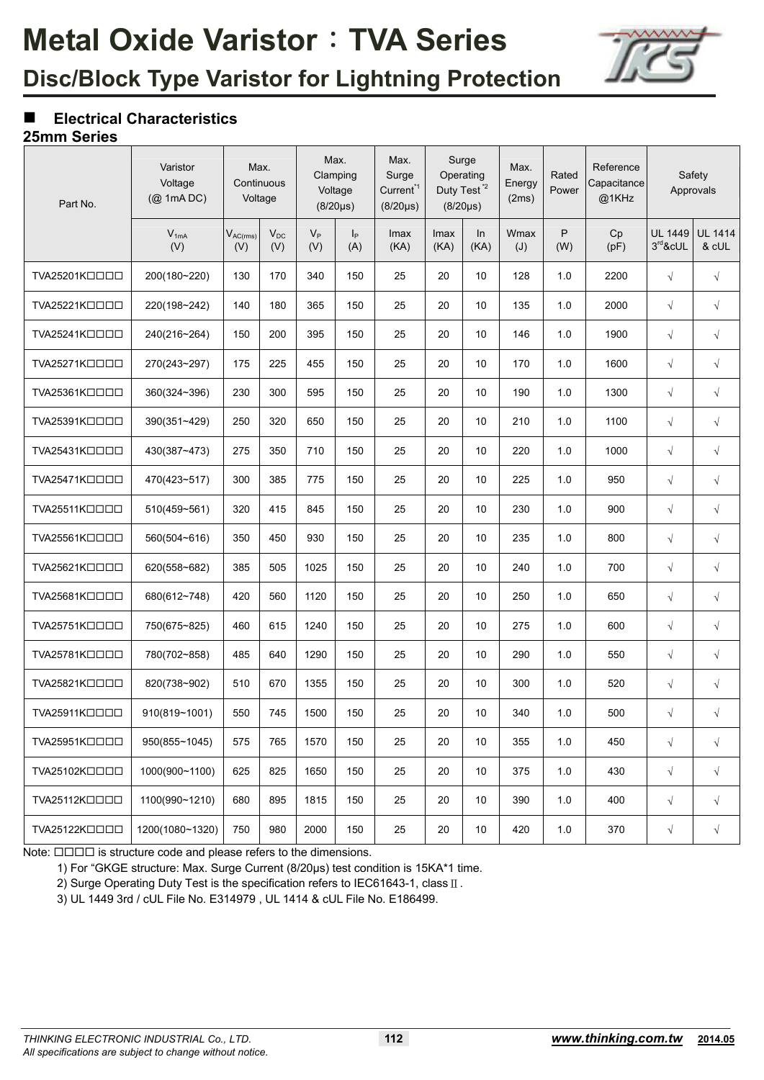

## **Electrical Characteristics**

### **25mm Series**

| Part No.      | Varistor<br>Voltage<br>$(Q)$ 1mA DC) | Max.<br>Continuous<br>Voltage |                 |              | Max.<br>Clamping<br>Voltage<br>$(8/20 \mu s)$ | Max.<br>Surge<br>Current <sup>*1</sup><br>$(8/20 \mu s)$ |              | Surge<br>Operating<br>Duty Test <sup>*2</sup><br>$(8/20 \mu s)$ | Max.<br>Energy<br>(2ms) | Rated<br>Power | Reference<br>Capacitance<br>@1KHz |                              | Safety<br>Approvals     |
|---------------|--------------------------------------|-------------------------------|-----------------|--------------|-----------------------------------------------|----------------------------------------------------------|--------------|-----------------------------------------------------------------|-------------------------|----------------|-----------------------------------|------------------------------|-------------------------|
|               | $V_{1mA}$<br>(V)                     | $V_{AC(rms)}$<br>(V)          | $V_{DC}$<br>(V) | $V_P$<br>(V) | p <br>(A)                                     | Imax<br>(KA)                                             | Imax<br>(KA) | In<br>(KA)                                                      | Wmax<br>(J)             | P<br>(W)       | Cp<br>(pF)                        | <b>UL 1449</b><br>$3rd$ &cUL | <b>UL 1414</b><br>& cUL |
| TVA25201KOOOO | 200(180~220)                         | 130                           | 170             | 340          | 150                                           | 25                                                       | 20           | 10                                                              | 128                     | 1.0            | 2200                              | $\sqrt{}$                    | $\sqrt{ }$              |
| TVA25221KOOOO | 220(198~242)                         | 140                           | 180             | 365          | 150                                           | 25                                                       | 20           | 10                                                              | 135                     | 1.0            | 2000                              | $\sqrt{}$                    | $\sqrt{}$               |
| TVA25241KOOOO | 240(216~264)                         | 150                           | 200             | 395          | 150                                           | 25                                                       | 20           | 10                                                              | 146                     | 1.0            | 1900                              | $\sqrt{}$                    | $\sqrt{}$               |
| TVA25271KOOOO | 270(243~297)                         | 175                           | 225             | 455          | 150                                           | 25                                                       | 20           | 10                                                              | 170                     | 1.0            | 1600                              | $\sqrt{}$                    | $\sqrt{}$               |
| TVA25361KOOOO | 360(324~396)                         | 230                           | 300             | 595          | 150                                           | 25                                                       | 20           | 10                                                              | 190                     | 1.0            | 1300                              | $\sqrt{}$                    | $\sqrt{}$               |
| TVA25391KOOOO | 390(351~429)                         | 250                           | 320             | 650          | 150                                           | 25                                                       | 20           | 10                                                              | 210                     | 1.0            | 1100                              | $\sqrt{}$                    | $\sqrt{}$               |
| TVA25431KOOOO | 430(387~473)                         | 275                           | 350             | 710          | 150                                           | 25                                                       | 20           | 10                                                              | 220                     | 1.0            | 1000                              | $\sqrt{}$                    | $\sqrt{}$               |
| TVA25471KOOOO | 470(423~517)                         | 300                           | 385             | 775          | 150                                           | 25                                                       | 20           | 10                                                              | 225                     | 1.0            | 950                               | $\sqrt{}$                    | $\sqrt{}$               |
| TVA25511KOOOO | 510(459~561)                         | 320                           | 415             | 845          | 150                                           | 25                                                       | 20           | 10                                                              | 230                     | $1.0\,$        | 900                               | $\sqrt{}$                    | $\sqrt{}$               |
| TVA25561KOOOO | 560(504~616)                         | 350                           | 450             | 930          | 150                                           | 25                                                       | 20           | 10                                                              | 235                     | 1.0            | 800                               | $\sqrt{}$                    | $\sqrt{ }$              |
| TVA25621KOOOO | 620(558~682)                         | 385                           | 505             | 1025         | 150                                           | 25                                                       | 20           | 10                                                              | 240                     | 1.0            | 700                               | $\sqrt{}$                    | $\sqrt{ }$              |
| TVA25681KOOOO | 680(612~748)                         | 420                           | 560             | 1120         | 150                                           | 25                                                       | 20           | 10                                                              | 250                     | 1.0            | 650                               | $\sqrt{}$                    | $\sqrt{}$               |
| TVA25751KOOOO | 750(675~825)                         | 460                           | 615             | 1240         | 150                                           | 25                                                       | 20           | 10                                                              | 275                     | 1.0            | 600                               | $\sqrt{}$                    | $\sqrt{}$               |
| TVA25781KOOOO | 780(702~858)                         | 485                           | 640             | 1290         | 150                                           | 25                                                       | 20           | 10                                                              | 290                     | 1.0            | 550                               | $\sqrt{}$                    | $\sqrt{}$               |
| TVA25821KOOOO | 820(738~902)                         | 510                           | 670             | 1355         | 150                                           | 25                                                       | 20           | 10                                                              | 300                     | 1.0            | 520                               | $\sqrt{}$                    | $\sqrt{}$               |
| TVA25911KOOOO | 910(819~1001)                        | 550                           | 745             | 1500         | 150                                           | 25                                                       | 20           | 10                                                              | 340                     | 1.0            | 500                               | $\sqrt{}$                    | $\sqrt{}$               |
| TVA25951KOOOO | 950(855~1045)                        | 575                           | 765             | 1570         | 150                                           | 25                                                       | 20           | 10                                                              | 355                     | 1.0            | 450                               | $\sqrt{}$                    | $\sqrt{ }$              |
| TVA25102KOOOO | 1000(900~1100)                       | 625                           | 825             | 1650         | 150                                           | 25                                                       | 20           | 10                                                              | 375                     | 1.0            | 430                               | $\sqrt{}$                    | $\sqrt{ }$              |
| TVA25112KOOOO | 1100(990~1210)                       | 680                           | 895             | 1815         | 150                                           | 25                                                       | 20           | 10                                                              | 390                     | 1.0            | 400                               | $\sqrt{}$                    | $\sqrt{ }$              |
| TVA25122KOOOO | 1200(1080~1320)                      | 750                           | 980             | 2000         | 150                                           | 25                                                       | 20           | 10                                                              | 420                     | 1.0            | 370                               | $\sqrt{}$                    | $\sqrt{ }$              |

Note:  $\Box \Box \Box \Box$  is structure code and please refers to the dimensions.

1) For "GKGE structure: Max. Surge Current (8/20μs) test condition is 15KA\*1 time.

2) Surge Operating Duty Test is the specification refers to IEC61643-1, class Ⅱ.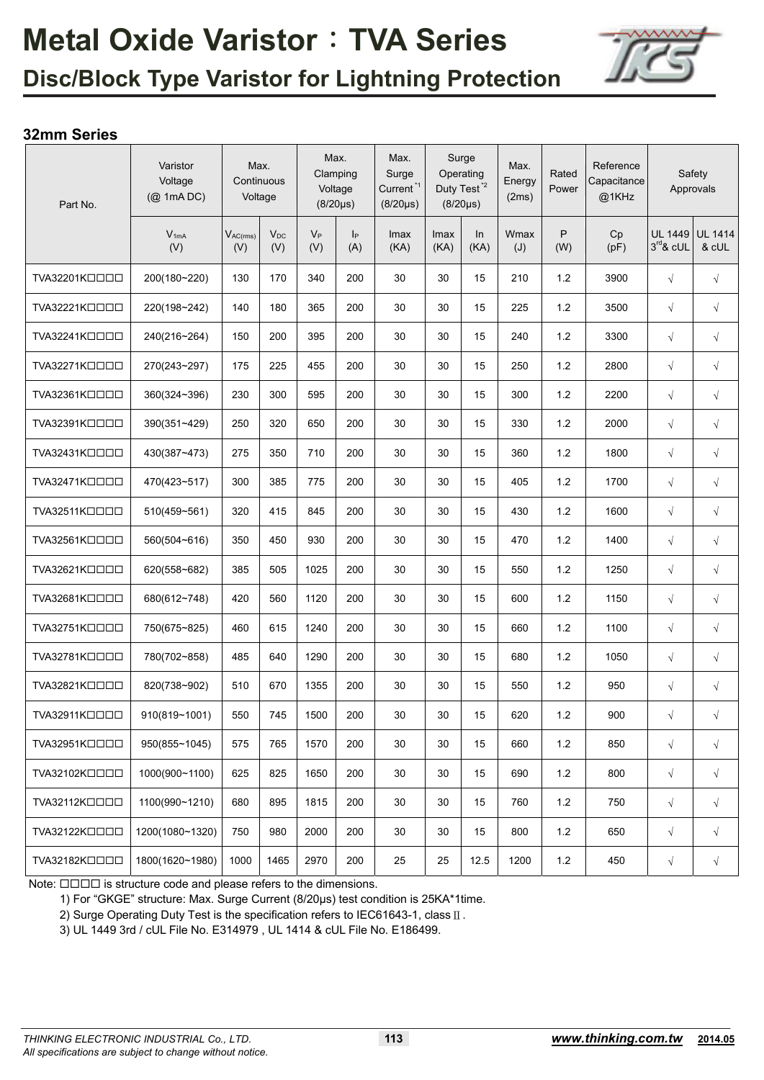

## **Disc/Block Type Varistor for Lightning Protection**

### **32mm Series**

| Part No.      | Varistor<br>Voltage<br>$(Q$ 1mA DC) |                      | Max.<br>Continuous<br>Voltage |              | Max.<br>Clamping<br>Voltage<br>$(8/20 \mu s)$ | Max.<br>Surge<br>Current <sup>*1</sup><br>$(8/20\mu s)$ |              | Surge<br>Operating<br>Duty Test <sup>*2</sup><br>$(8/20 \mu s)$ | Max.<br>Energy<br>(2ms) | Rated<br>Power | Reference<br>Capacitance<br>@1KHz |                               | Safety<br>Approvals     |
|---------------|-------------------------------------|----------------------|-------------------------------|--------------|-----------------------------------------------|---------------------------------------------------------|--------------|-----------------------------------------------------------------|-------------------------|----------------|-----------------------------------|-------------------------------|-------------------------|
|               | $V_{1mA}$<br>(V)                    | $V_{AC(rms)}$<br>(V) | $V_{DC}$<br>(V)               | $V_P$<br>(V) | p <br>(A)                                     | Imax<br>(KA)                                            | Imax<br>(KA) | In<br>(KA)                                                      | Wmax<br>(J)             | P<br>(W)       | Cp<br>(pF)                        | <b>UL 1449</b><br>$3rd$ & cUL | <b>UL 1414</b><br>& cUL |
| TVA32201KOOOO | 200(180~220)                        | 130                  | 170                           | 340          | 200                                           | 30                                                      | 30           | 15                                                              | 210                     | 1.2            | 3900                              | $\sqrt{}$                     | $\sqrt{}$               |
| TVA32221KOOOO | 220(198~242)                        | 140                  | 180                           | 365          | 200                                           | 30                                                      | 30           | 15                                                              | 225                     | 1.2            | 3500                              | $\sqrt{}$                     | $\sqrt{}$               |
| TVA32241KOOOO | 240(216~264)                        | 150                  | 200                           | 395          | 200                                           | 30                                                      | 30           | 15                                                              | 240                     | 1.2            | 3300                              | $\sqrt{}$                     | $\sqrt{}$               |
| TVA32271KOOOO | 270(243~297)                        | 175                  | 225                           | 455          | 200                                           | 30                                                      | 30           | 15                                                              | 250                     | 1.2            | 2800                              | $\sqrt{}$                     | $\sqrt{}$               |
| TVA32361KOOOO | 360(324~396)                        | 230                  | 300                           | 595          | 200                                           | 30                                                      | 30           | 15                                                              | 300                     | 1.2            | 2200                              | $\sqrt{}$                     | $\sqrt{}$               |
| TVA32391KOOOO | 390(351~429)                        | 250                  | 320                           | 650          | 200                                           | 30                                                      | 30           | 15                                                              | 330                     | 1.2            | 2000                              | $\sqrt{}$                     | $\sqrt{}$               |
| TVA32431KOOOO | 430(387~473)                        | 275                  | 350                           | 710          | 200                                           | 30                                                      | 30           | 15                                                              | 360                     | 1.2            | 1800                              | $\sqrt{}$                     | $\sqrt{}$               |
| TVA32471KOOOO | 470(423~517)                        | 300                  | 385                           | 775          | 200                                           | 30                                                      | 30           | 15                                                              | 405                     | 1.2            | 1700                              | $\sqrt{}$                     | $\sqrt{}$               |
| TVA32511KOOOO | 510(459~561)                        | 320                  | 415                           | 845          | 200                                           | 30                                                      | 30           | 15                                                              | 430                     | 1.2            | 1600                              | $\sqrt{}$                     | $\sqrt{}$               |
| TVA32561KOOOO | 560(504~616)                        | 350                  | 450                           | 930          | 200                                           | 30                                                      | 30           | 15                                                              | 470                     | 1.2            | 1400                              | $\sqrt{}$                     | $\sqrt{}$               |
| TVA32621KOOOO | 620(558~682)                        | 385                  | 505                           | 1025         | 200                                           | 30                                                      | 30           | 15                                                              | 550                     | 1.2            | 1250                              | $\sqrt{}$                     | $\sqrt{}$               |
| TVA32681KOOOO | 680(612~748)                        | 420                  | 560                           | 1120         | 200                                           | 30                                                      | 30           | 15                                                              | 600                     | 1.2            | 1150                              | $\sqrt{}$                     | $\sqrt{}$               |
| TVA32751KOOOO | 750(675~825)                        | 460                  | 615                           | 1240         | 200                                           | 30                                                      | 30           | 15                                                              | 660                     | 1.2            | 1100                              | $\sqrt{}$                     | $\sqrt{}$               |
| TVA32781KOOOO | 780(702~858)                        | 485                  | 640                           | 1290         | 200                                           | 30                                                      | 30           | 15                                                              | 680                     | 1.2            | 1050                              | $\sqrt{}$                     | $\sqrt{}$               |
| TVA32821KOOOO | 820(738~902)                        | 510                  | 670                           | 1355         | 200                                           | 30                                                      | 30           | 15                                                              | 550                     | 1.2            | 950                               | $\sqrt{}$                     | $\sqrt{}$               |
| TVA32911KOOOO | 910(819~1001)                       | 550                  | 745                           | 1500         | 200                                           | 30                                                      | 30           | 15                                                              | 620                     | 1.2            | 900                               | $\sqrt{}$                     | $\sqrt{}$               |
| TVA32951KOOOO | 950(855~1045)                       | 575                  | 765                           | 1570         | 200                                           | 30                                                      | 30           | 15                                                              | 660                     | 1.2            | 850                               | $\sqrt{}$                     | $\sqrt{}$               |
| TVA32102KOOOO | 1000(900~1100)                      | 625                  | 825                           | 1650         | 200                                           | 30                                                      | 30           | 15                                                              | 690                     | 1.2            | 800                               | $\sqrt{}$                     | $\sqrt{}$               |
| TVA32112KOOOO | 1100(990~1210)                      | 680                  | 895                           | 1815         | 200                                           | 30                                                      | 30           | 15                                                              | 760                     | 1.2            | 750                               | $\sqrt{}$                     | $\sqrt{}$               |
| TVA32122KDDDD | 1200(1080~1320)                     | 750                  | 980                           | 2000         | 200                                           | 30                                                      | 30           | 15                                                              | 800                     | $1.2$          | 650                               | $\sqrt{}$                     | $\sqrt{}$               |
| TVA32182KOOOO | 1800(1620~1980)                     | 1000                 | 1465                          | 2970         | 200                                           | 25                                                      | 25           | 12.5                                                            | 1200                    | 1.2            | 450                               | $\sqrt{}$                     | $\sqrt{}$               |

Note:  $\Box\Box\Box\Box$  is structure code and please refers to the dimensions.

1) For "GKGE" structure: Max. Surge Current (8/20μs) test condition is 25KA\*1time.

2) Surge Operating Duty Test is the specification refers to IEC61643-1, class Ⅱ.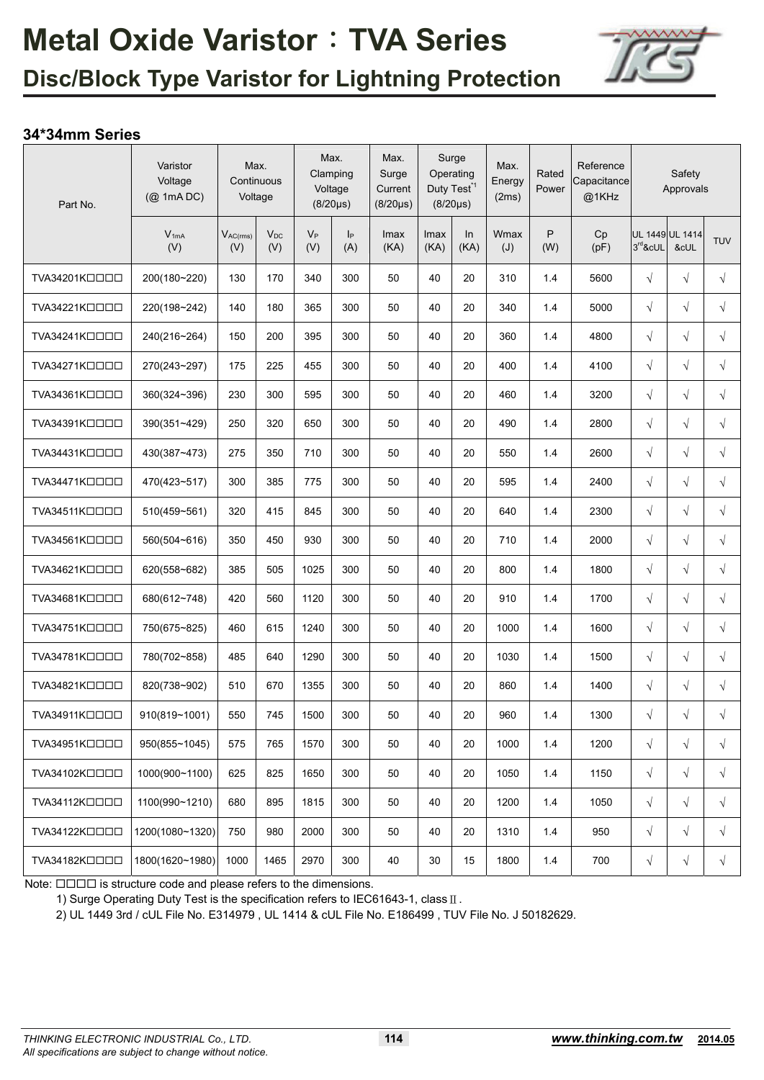

### **34\*34mm Series**

| Part No.      | Varistor<br>Voltage<br>(@ 1mA DC) | Max.<br>Continuous<br>Voltage |                 | Clamping     | Max.<br>Voltage<br>$(8/20\mu s)$ | Max.<br>Surge<br>Current<br>$(8/20 \mu s)$ | Surge<br>Duty Test <sup>*1</sup> | Operating<br>$(8/20 \mu s)$ | Max.<br>Energy<br>(2ms) | Rated<br>Power | Reference<br>Capacitance<br>@1KHz |           | Safety<br>Approvals     |            |
|---------------|-----------------------------------|-------------------------------|-----------------|--------------|----------------------------------|--------------------------------------------|----------------------------------|-----------------------------|-------------------------|----------------|-----------------------------------|-----------|-------------------------|------------|
|               | $V_{1mA}$<br>(V)                  | $V_{AC(rms)}$<br>(V)          | $V_{DC}$<br>(V) | $V_P$<br>(V) | I <sub>P</sub><br>(A)            | Imax<br>(KA)                               | Imax<br>(KA)                     | ln<br>(KA)                  | Wmax<br>$(\mathsf{U})$  | P<br>(W)       | Cp<br>(pF)                        | 3rd&cUL   | UL 1449 UL 1414<br>&cUL | <b>TUV</b> |
| TVA34201KOOOO | 200(180~220)                      | 130                           | 170             | 340          | 300                              | 50                                         | 40                               | 20                          | 310                     | 1.4            | 5600                              | $\sqrt{}$ | $\sqrt{}$               | $\sqrt{ }$ |
| TVA34221KOOOO | 220(198~242)                      | 140                           | 180             | 365          | 300                              | 50                                         | 40                               | 20                          | 340                     | 1.4            | 5000                              | $\sqrt{}$ | $\sqrt{ }$              | $\sqrt{ }$ |
| TVA34241KOOOO | 240(216~264)                      | 150                           | 200             | 395          | 300                              | 50                                         | 40                               | 20                          | 360                     | 1.4            | 4800                              | $\sqrt{}$ | $\sqrt{ }$              | $\sqrt{}$  |
| TVA34271KOOOO | 270(243~297)                      | 175                           | 225             | 455          | 300                              | 50                                         | 40                               | 20                          | 400                     | 1.4            | 4100                              | $\sqrt{}$ | $\sqrt{}$               | $\sqrt{ }$ |
| TVA34361KOOOO | 360(324~396)                      | 230                           | 300             | 595          | 300                              | 50                                         | 40                               | 20                          | 460                     | 1.4            | 3200                              | $\sqrt{}$ | $\sqrt{}$               | $\sqrt{}$  |
| TVA34391KOOOO | 390(351~429)                      | 250                           | 320             | 650          | 300                              | 50                                         | 40                               | 20                          | 490                     | 1.4            | 2800                              | $\sqrt{}$ | $\sqrt{ }$              | $\sqrt{ }$ |
| TVA34431KOOOO | 430(387~473)                      | 275                           | 350             | 710          | 300                              | 50                                         | 40                               | 20                          | 550                     | 1.4            | 2600                              | $\sqrt{}$ | $\sqrt{}$               | $\sqrt{}$  |
| TVA34471KOOOO | 470(423~517)                      | 300                           | 385             | 775          | 300                              | 50                                         | 40                               | 20                          | 595                     | 1.4            | 2400                              | $\sqrt{}$ | $\sqrt{ }$              | $\sqrt{ }$ |
| TVA34511KOOOO | 510(459~561)                      | 320                           | 415             | 845          | 300                              | 50                                         | 40                               | 20                          | 640                     | 1.4            | 2300                              | $\sqrt{}$ | $\sqrt{}$               | $\sqrt{}$  |
| TVA34561KOOOO | 560(504~616)                      | 350                           | 450             | 930          | 300                              | 50                                         | 40                               | 20                          | 710                     | 1.4            | 2000                              | $\sqrt{}$ | $\sqrt{}$               | $\sqrt{}$  |
| TVA34621KOOOO | 620(558~682)                      | 385                           | 505             | 1025         | 300                              | 50                                         | 40                               | 20                          | 800                     | 1.4            | 1800                              | $\sqrt{}$ | $\sqrt{ }$              | $\sqrt{ }$ |
| TVA34681KOOOO | 680(612~748)                      | 420                           | 560             | 1120         | 300                              | 50                                         | 40                               | 20                          | 910                     | 1.4            | 1700                              | $\sqrt{}$ | $\sqrt{}$               | $\sqrt{ }$ |
| TVA34751KOOOO | 750(675~825)                      | 460                           | 615             | 1240         | 300                              | 50                                         | 40                               | 20                          | 1000                    | 1.4            | 1600                              | $\sqrt{}$ | $\sqrt{ }$              | $\sqrt{ }$ |
| TVA34781KOOOO | 780(702~858)                      | 485                           | 640             | 1290         | 300                              | 50                                         | 40                               | 20                          | 1030                    | 1.4            | 1500                              | $\sqrt{}$ | $\sqrt{}$               | $\sqrt{ }$ |
| TVA34821KOOOO | 820(738~902)                      | 510                           | 670             | 1355         | 300                              | 50                                         | 40                               | 20                          | 860                     | 1.4            | 1400                              | $\sqrt{}$ | $\sqrt{ }$              | $\sqrt{ }$ |
| TVA34911KOOOO | 910(819~1001)                     | 550                           | 745             | 1500         | 300                              | 50                                         | 40                               | 20                          | 960                     | 1.4            | 1300                              | $\sqrt{}$ | $\sqrt{}$               | $\sqrt{}$  |
| TVA34951KOOOO | 950(855~1045)                     | 575                           | 765             | 1570         | 300                              | 50                                         | 40                               | 20                          | 1000                    | 1.4            | 1200                              | $\sqrt{}$ | $\sqrt{}$               | $\sqrt{ }$ |
| TVA34102KOOOO | 1000(900~1100)                    | 625                           | 825             | 1650         | 300                              | 50                                         | 40                               | 20                          | 1050                    | 1.4            | 1150                              | $\sqrt{}$ | $\sqrt{}$               | $\sqrt{ }$ |
| TVA34112KOOOO | 1100(990~1210)                    | 680                           | 895             | 1815         | 300                              | 50                                         | 40                               | 20                          | 1200                    | 1.4            | 1050                              | $\sqrt{}$ | $\sqrt{}$               | $\sqrt{ }$ |
| TVA34122KOOOO | 1200(1080~1320)                   | 750                           | 980             | 2000         | 300                              | 50                                         | 40                               | 20                          | 1310                    | 1.4            | 950                               | $\sqrt{}$ | $\sqrt{}$               | $\sqrt{}$  |
| TVA34182KOOOO | 1800(1620~1980)                   | 1000                          | 1465            | 2970         | 300                              | 40                                         | 30                               | 15                          | 1800                    | 1.4            | 700                               | $\sqrt{}$ | $\sqrt{}$               | $\sqrt{}$  |

Note:  $\Box\Box\Box\Box$  is structure code and please refers to the dimensions.

1) Surge Operating Duty Test is the specification refers to IEC61643-1, classⅡ.

2) UL 1449 3rd / cUL File No. E314979 , UL 1414 & cUL File No. E186499 , TUV File No. J 50182629.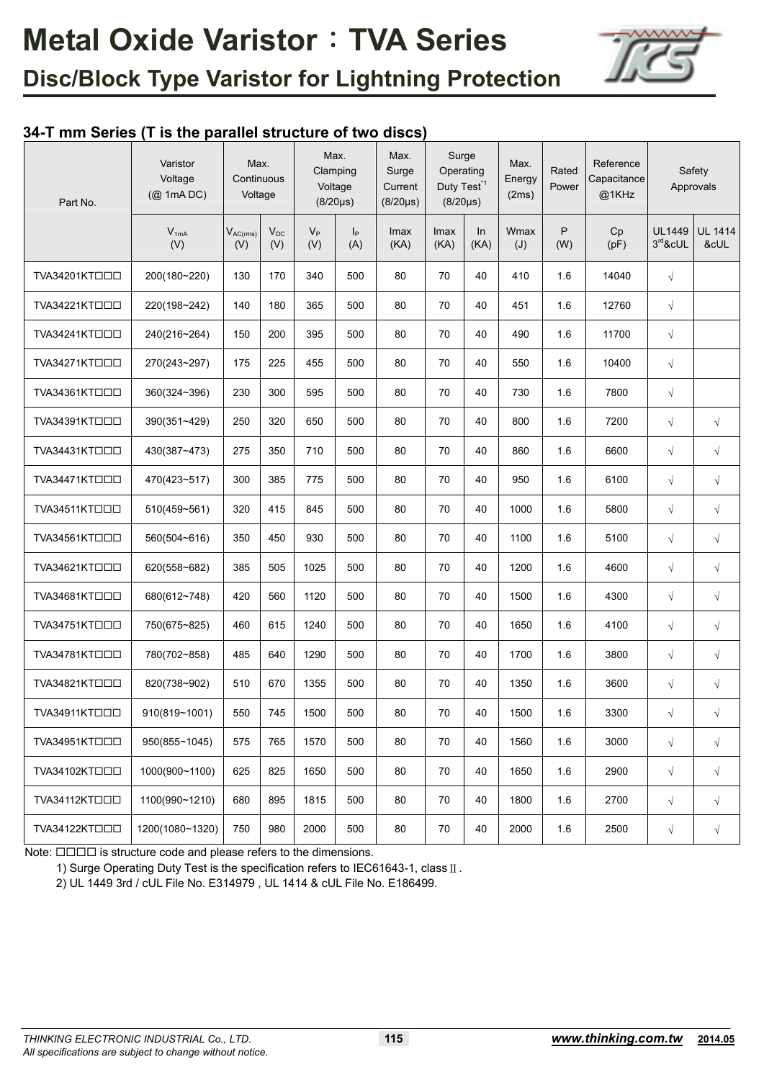

### **34-T mm Series (T is the parallel structure of two discs)**

| Part No.      | Varistor<br>Voltage<br>$(Q$ 1mA DC) | Max.<br>Continuous<br>Voltage |                 |              | Max.<br>Clamping<br>Voltage<br>$(8/20 \mu s)$ | Max.<br>Surge<br>Current<br>$(8/20\mu s)$ | Surge<br>Operating<br>Duty Test <sup>*1</sup><br>$(8/20 \mu s)$ |            | Max.<br>Energy<br>(2ms) | Rated<br>Power | Reference<br>Capacitance<br>@1KHz |                          | Safety<br>Approvals    |
|---------------|-------------------------------------|-------------------------------|-----------------|--------------|-----------------------------------------------|-------------------------------------------|-----------------------------------------------------------------|------------|-------------------------|----------------|-----------------------------------|--------------------------|------------------------|
|               | $V_{1mA}$<br>(V)                    | $V_{AC(rms)}$<br>(V)          | $V_{DC}$<br>(V) | $V_P$<br>(V) | p <br>(A)                                     | Imax<br>(KA)                              | Imax<br>(KA)                                                    | In<br>(KA) | Wmax<br>(J)             | P<br>(W)       | Cp<br>(pF)                        | <b>UL1449</b><br>3rd&cUL | <b>UL 1414</b><br>&cUL |
| TVA34201KTOOO | 200(180~220)                        | 130                           | 170             | 340          | 500                                           | 80                                        | 70                                                              | 40         | 410                     | 1.6            | 14040                             | $\sqrt{}$                |                        |
| TVA34221KTOOD | 220(198~242)                        | 140                           | 180             | 365          | 500                                           | 80                                        | 70                                                              | 40         | 451                     | 1.6            | 12760                             | $\sqrt{}$                |                        |
| TVA34241KTOOD | 240(216~264)                        | 150                           | 200             | 395          | 500                                           | 80                                        | 70                                                              | 40         | 490                     | 1.6            | 11700                             | $\sqrt{}$                |                        |
| TVA34271KTOOO | 270(243~297)                        | 175                           | 225             | 455          | 500                                           | 80                                        | 70                                                              | 40         | 550                     | 1.6            | 10400                             | $\sqrt{}$                |                        |
| TVA34361KTOOO | 360(324~396)                        | 230                           | 300             | 595          | 500                                           | 80                                        | 70                                                              | 40         | 730                     | 1.6            | 7800                              | $\sqrt{}$                |                        |
| TVA34391KTOOO | 390(351~429)                        | 250                           | 320             | 650          | 500                                           | 80                                        | 70                                                              | 40         | 800                     | 1.6            | 7200                              | $\sqrt{}$                | $\sqrt{ }$             |
| TVA34431KTOOO | 430(387~473)                        | 275                           | 350             | 710          | 500                                           | 80                                        | 70                                                              | 40         | 860                     | 1.6            | 6600                              | $\sqrt{}$                | $\sqrt{}$              |
| TVA34471KTOOO | 470(423~517)                        | 300                           | 385             | 775          | 500                                           | 80                                        | 70                                                              | 40         | 950                     | 1.6            | 6100                              | $\sqrt{}$                | $\sqrt{}$              |
| TVA34511KTOOO | 510(459~561)                        | 320                           | 415             | 845          | 500                                           | 80                                        | 70                                                              | 40         | 1000                    | 1.6            | 5800                              | $\sqrt{}$                | $\sqrt{}$              |
| TVA34561KTOOD | 560(504~616)                        | 350                           | 450             | 930          | 500                                           | 80                                        | 70                                                              | 40         | 1100                    | 1.6            | 5100                              | $\sqrt{}$                | $\sqrt{}$              |
| TVA34621KTOOD | 620(558~682)                        | 385                           | 505             | 1025         | 500                                           | 80                                        | 70                                                              | 40         | 1200                    | 1.6            | 4600                              | $\sqrt{}$                | $\sqrt{}$              |
| TVA34681KTOOO | 680(612~748)                        | 420                           | 560             | 1120         | 500                                           | 80                                        | 70                                                              | 40         | 1500                    | 1.6            | 4300                              | $\sqrt{}$                | $\sqrt{}$              |
| TVA34751KTOOO | 750(675~825)                        | 460                           | 615             | 1240         | 500                                           | 80                                        | 70                                                              | 40         | 1650                    | 1.6            | 4100                              | $\sqrt{}$                | $\sqrt{ }$             |
| TVA34781KT口口口 | 780(702~858)                        | 485                           | 640             | 1290         | 500                                           | 80                                        | 70                                                              | 40         | 1700                    | 1.6            | 3800                              | $\sqrt{}$                | $\sqrt{ }$             |
| TVA34821KTOOO | 820(738~902)                        | 510                           | 670             | 1355         | 500                                           | 80                                        | 70                                                              | 40         | 1350                    | 1.6            | 3600                              | $\sqrt{}$                | $\sqrt{ }$             |
| TVA34911KTOOO | 910(819~1001)                       | 550                           | 745             | 1500         | 500                                           | 80                                        | 70                                                              | 40         | 1500                    | 1.6            | 3300                              | $\sqrt{}$                | $\sqrt{}$              |
| TVA34951KTOOD | 950(855~1045)                       | 575                           | 765             | 1570         | 500                                           | 80                                        | 70                                                              | 40         | 1560                    | 1.6            | 3000                              | $\sqrt{ }$               | $\sqrt{ }$             |
| TVA34102KTOOD | 1000(900~1100)                      | 625                           | 825             | 1650         | 500                                           | 80                                        | 70                                                              | 40         | 1650                    | 1.6            | 2900                              | $\sqrt{}$                | $\sqrt{}$              |
| TVA34112KTOOD | 1100(990~1210)                      | 680                           | 895             | 1815         | 500                                           | 80                                        | 70                                                              | 40         | 1800                    | 1.6            | 2700                              | $\sqrt{}$                | $\sqrt{ }$             |
| TVA34122KTOOO | 1200(1080~1320)                     | 750                           | 980             | 2000         | 500                                           | 80                                        | 70                                                              | 40         | 2000                    | 1.6            | 2500                              | $\sqrt{}$                | $\sqrt{ }$             |

Note:  $\Box \Box \Box \Box$  is structure code and please refers to the dimensions.

1) Surge Operating Duty Test is the specification refers to IEC61643-1, classⅡ.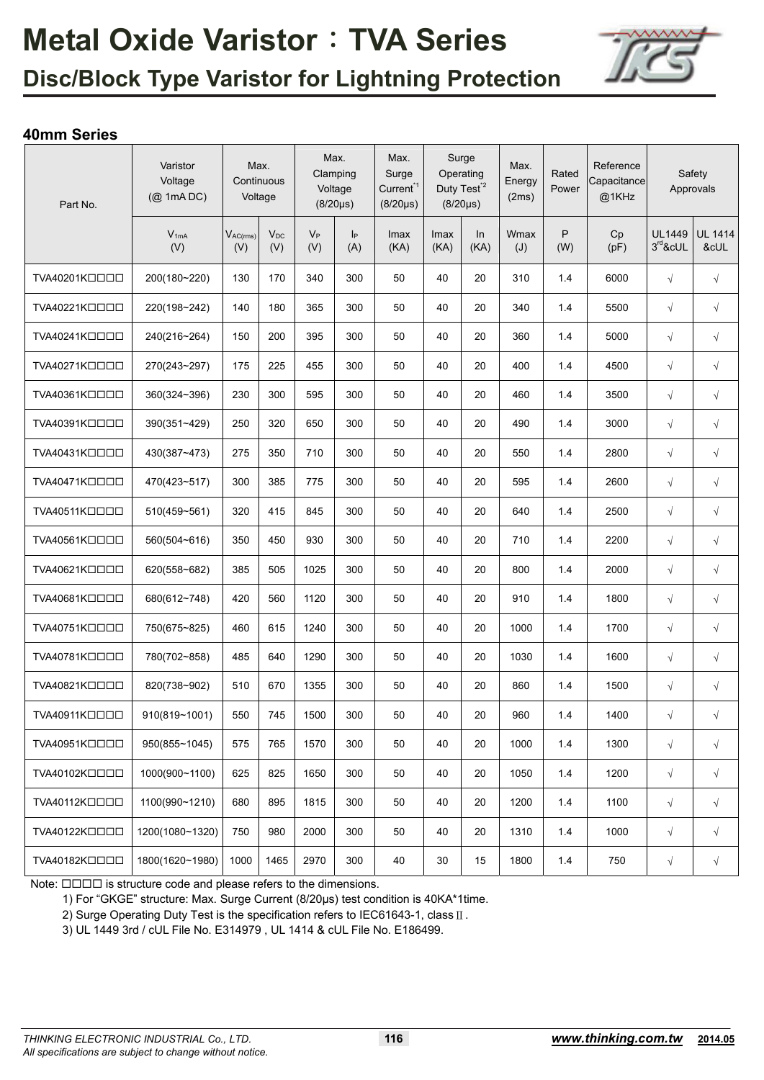

## **Disc/Block Type Varistor for Lightning Protection**

### **40mm Series**

| Part No.      | Varistor<br>Voltage<br>$(Q$ 1mA DC) |                      | Max.<br>Continuous<br>Voltage |              | Max.<br>Clamping<br>Voltage<br>$(8/20\mu s)$ | Max.<br>Surge<br>Current <sup>*1</sup><br>$(8/20 \mu s)$ |              | Surge<br>Operating<br>Duty Test <sup>*2</sup><br>$(8/20 \mu s)$ | Max.<br>Energy<br>(2ms) | Rated<br>Power | Reference<br>Capacitance<br>@1KHz |                             | Safety<br>Approvals    |
|---------------|-------------------------------------|----------------------|-------------------------------|--------------|----------------------------------------------|----------------------------------------------------------|--------------|-----------------------------------------------------------------|-------------------------|----------------|-----------------------------------|-----------------------------|------------------------|
|               | $V_{1mA}$<br>(V)                    | $V_{AC(rms)}$<br>(V) | $V_{DC}$<br>(V)               | $V_P$<br>(V) | $\mathsf{I}_{\mathsf{P}}$<br>(A)             | Imax<br>(KA)                                             | Imax<br>(KA) | In<br>(KA)                                                      | Wmax<br>(J)             | P<br>(W)       | Cp<br>(pF)                        | <b>UL1449</b><br>$3rd$ &cUL | <b>UL 1414</b><br>&cUL |
| TVA40201KOOOO | 200(180~220)                        | 130                  | 170                           | 340          | 300                                          | 50                                                       | 40           | 20                                                              | 310                     | 1.4            | 6000                              | $\sqrt{ }$                  | $\sqrt{ }$             |
| TVA40221KOOOO | 220(198~242)                        | 140                  | 180                           | 365          | 300                                          | 50                                                       | 40           | 20                                                              | 340                     | 1.4            | 5500                              | $\sqrt{}$                   | $\sqrt{}$              |
| TVA40241KOOOO | 240(216~264)                        | 150                  | 200                           | 395          | 300                                          | 50                                                       | 40           | 20                                                              | 360                     | 1.4            | 5000                              | $\sqrt{ }$                  | $\sqrt{}$              |
| TVA40271KOOOO | 270(243~297)                        | 175                  | 225                           | 455          | 300                                          | 50                                                       | 40           | 20                                                              | 400                     | 1.4            | 4500                              | $\sqrt{}$                   | $\sqrt{}$              |
| TVA40361KOOOO | 360(324~396)                        | 230                  | 300                           | 595          | 300                                          | 50                                                       | 40           | 20                                                              | 460                     | 1.4            | 3500                              | $\sqrt{}$                   | $\sqrt{}$              |
| TVA40391KOOOO | 390(351~429)                        | 250                  | 320                           | 650          | 300                                          | 50                                                       | 40           | 20                                                              | 490                     | 1.4            | 3000                              | $\sqrt{}$                   | $\sqrt{}$              |
| TVA40431KOOOO | 430(387~473)                        | 275                  | 350                           | 710          | 300                                          | 50                                                       | 40           | 20                                                              | 550                     | 1.4            | 2800                              | $\sqrt{}$                   | $\sqrt{}$              |
| TVA40471KOOOO | 470(423~517)                        | 300                  | 385                           | 775          | 300                                          | 50                                                       | 40           | 20                                                              | 595                     | 1.4            | 2600                              | $\sqrt{ }$                  | $\sqrt{}$              |
| TVA40511KOOOO | 510(459~561)                        | 320                  | 415                           | 845          | 300                                          | 50                                                       | 40           | 20                                                              | 640                     | 1.4            | 2500                              | $\sqrt{ }$                  | $\sqrt{ }$             |
| TVA40561KOOOO | 560(504~616)                        | 350                  | 450                           | 930          | 300                                          | 50                                                       | 40           | 20                                                              | 710                     | 1.4            | 2200                              | $\sqrt{}$                   | $\sqrt{}$              |
| TVA40621KOOOO | 620(558~682)                        | 385                  | 505                           | 1025         | 300                                          | 50                                                       | 40           | 20                                                              | 800                     | 1.4            | 2000                              | $\sqrt{}$                   | $\sqrt{ }$             |
| TVA40681KOOOO | 680(612~748)                        | 420                  | 560                           | 1120         | 300                                          | 50                                                       | 40           | 20                                                              | 910                     | 1.4            | 1800                              | $\sqrt{ }$                  | $\sqrt{}$              |
| TVA40751KOOOO | 750(675~825)                        | 460                  | 615                           | 1240         | 300                                          | 50                                                       | 40           | 20                                                              | 1000                    | 1.4            | 1700                              | $\sqrt{}$                   | $\sqrt{}$              |
| TVA40781KOOOO | 780(702~858)                        | 485                  | 640                           | 1290         | 300                                          | 50                                                       | 40           | 20                                                              | 1030                    | 1.4            | 1600                              | $\sqrt{}$                   | $\sqrt{}$              |
| TVA40821KOOOO | 820(738~902)                        | 510                  | 670                           | 1355         | 300                                          | 50                                                       | 40           | 20                                                              | 860                     | 1.4            | 1500                              | $\sqrt{ }$                  | $\sqrt{}$              |
| TVA40911KOOOO | 910(819~1001)                       | 550                  | 745                           | 1500         | 300                                          | 50                                                       | 40           | 20                                                              | 960                     | 1.4            | 1400                              | $\sqrt{}$                   | $\sqrt{}$              |
| TVA40951KOOOO | 950(855~1045)                       | 575                  | 765                           | 1570         | 300                                          | 50                                                       | 40           | 20                                                              | 1000                    | 1.4            | 1300                              | $\sqrt{}$                   | $\sqrt{}$              |
| TVA40102KOOOO | 1000(900~1100)                      | 625                  | 825                           | 1650         | 300                                          | 50                                                       | 40           | 20                                                              | 1050                    | 1.4            | 1200                              | $\sqrt{ }$                  | $\sqrt{ }$             |
| TVA40112KOOOO | 1100(990~1210)                      | 680                  | 895                           | 1815         | 300                                          | 50                                                       | 40           | 20                                                              | 1200                    | 1.4            | 1100                              | $\sqrt{}$                   | $\sqrt{}$              |
| TVA40122KOOOO | 1200(1080~1320)                     | 750                  | 980                           | 2000         | 300                                          | 50                                                       | 40           | 20                                                              | 1310                    | 1.4            | 1000                              | $\sqrt{}$                   | $\sqrt{}$              |
| TVA40182KOOOO | 1800(1620~1980)                     | 1000                 | 1465                          | 2970         | 300                                          | 40                                                       | $30\,$       | 15                                                              | 1800                    | 1.4            | 750                               | $\sqrt{}$                   | $\sqrt{ }$             |

Note:  $\Box\Box\Box\Box$  is structure code and please refers to the dimensions.

1) For "GKGE" structure: Max. Surge Current (8/20μs) test condition is 40KA\*1time.

2) Surge Operating Duty Test is the specification refers to IEC61643-1, class Ⅱ.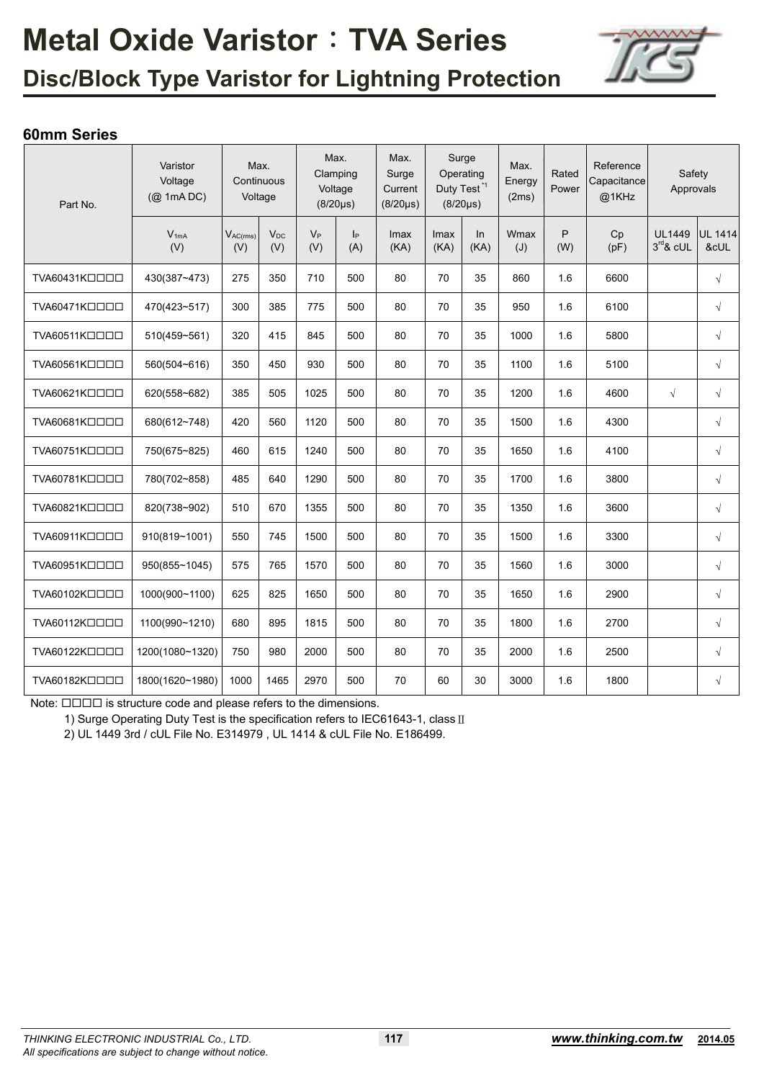

## **Disc/Block Type Varistor for Lightning Protection**

### **60mm Series**

| Part No.                 | Varistor<br>Voltage<br>(@ 1mA DC) |                      | Max.<br>Continuous<br>Voltage |              | Max.<br>Clamping<br>Voltage<br>$(8/20 \mu s)$ | Max.<br>Surge<br>Current<br>$(8/20 \mu s)$ |              | Surge<br>Operating<br>Duty Test <sup>*1</sup><br>$(8/20 \mu s)$ | Max.<br>Energy<br>(2ms) | Rated<br>Power | Reference<br>Capacitance<br>@1KHz | Safety<br>Approvals          |                        |
|--------------------------|-----------------------------------|----------------------|-------------------------------|--------------|-----------------------------------------------|--------------------------------------------|--------------|-----------------------------------------------------------------|-------------------------|----------------|-----------------------------------|------------------------------|------------------------|
|                          | $V_{1mA}$<br>(V)                  | $V_{AC(rms)}$<br>(V) | $V_{DC}$<br>(V)               | $V_P$<br>(V) | p <br>(A)                                     | Imax<br>(KA)                               | Imax<br>(KA) | ln<br>(KA)                                                      | Wmax<br>(J)             | P<br>(W)       | Cp<br>(pF)                        | <b>UL1449</b><br>$3rd$ & cUL | <b>UL 1414</b><br>&cUL |
| TVA60431KOOOO            | 430(387~473)                      | 275                  | 350                           | 710          | 500                                           | 80                                         | 70           | 35                                                              | 860                     | 1.6            | 6600                              |                              | $\sqrt{}$              |
| TVA60471KOOOO            | 470(423~517)                      | 300                  | 385                           | 775          | 500                                           | 80                                         | 70           | 35                                                              | 950                     | 1.6            | 6100                              |                              | $\sqrt{}$              |
| TVA60511KOOOO            | 510(459~561)                      | 320                  | 415                           | 845          | 500                                           | 80                                         | 70           | 35                                                              | 1000                    | 1.6            | 5800                              |                              | $\sqrt{ }$             |
| TVA60561KOOOO            | 560(504~616)                      | 350                  | 450                           | 930          | 500                                           | 80                                         | 70           | 35                                                              | 1100                    | 1.6            | 5100                              |                              | $\sqrt{ }$             |
| TVA60621KOOOO            | 620(558~682)                      | 385                  | 505                           | 1025         | 500                                           | 80                                         | 70           | 35                                                              | 1200                    | 1.6            | 4600                              | $\sqrt{}$                    | $\sqrt{ }$             |
| TVA60681KOOOO            | 680(612~748)                      | 420                  | 560                           | 1120         | 500                                           | 80                                         | 70           | 35                                                              | 1500                    | 1.6            | 4300                              |                              | $\sqrt{}$              |
| TVA60751KOOOO            | 750(675~825)                      | 460                  | 615                           | 1240         | 500                                           | 80                                         | 70           | 35                                                              | 1650                    | 1.6            | 4100                              |                              | $\sqrt{ }$             |
| TVA60781KOOOO            | 780(702~858)                      | 485                  | 640                           | 1290         | 500                                           | 80                                         | 70           | 35                                                              | 1700                    | 1.6            | 3800                              |                              | $\sqrt{ }$             |
| TVA60821KOOOO            | 820(738~902)                      | 510                  | 670                           | 1355         | 500                                           | 80                                         | 70           | 35                                                              | 1350                    | 1.6            | 3600                              |                              | $\sqrt{}$              |
| TVA60911KOOOO            | 910(819~1001)                     | 550                  | 745                           | 1500         | 500                                           | 80                                         | 70           | 35                                                              | 1500                    | 1.6            | 3300                              |                              | $\sqrt{ }$             |
| TVA60951KOOOO            | 950(855~1045)                     | 575                  | 765                           | 1570         | 500                                           | 80                                         | 70           | 35                                                              | 1560                    | 1.6            | 3000                              |                              | $\sqrt{ }$             |
| TVA60102KOOOO            | 1000(900~1100)                    | 625                  | 825                           | 1650         | 500                                           | 80                                         | 70           | 35                                                              | 1650                    | 1.6            | 2900                              |                              | $\sqrt{ }$             |
| TVA60112K <sub>DDD</sub> | 1100(990~1210)                    | 680                  | 895                           | 1815         | 500                                           | 80                                         | 70           | 35                                                              | 1800                    | 1.6            | 2700                              |                              | $\sqrt{ }$             |
| TVA60122KOOOO            | 1200(1080~1320)                   | 750                  | 980                           | 2000         | 500                                           | 80                                         | 70           | 35                                                              | 2000                    | 1.6            | 2500                              |                              | $\sqrt{ }$             |
| TVA60182KOOOO            | 1800(1620~1980)                   | 1000                 | 1465                          | 2970         | 500                                           | 70                                         | 60           | 30                                                              | 3000                    | 1.6            | 1800                              |                              | $\sqrt{}$              |

Note:  $\Box\Box\Box\Box$  is structure code and please refers to the dimensions.

1) Surge Operating Duty Test is the specification refers to IEC61643-1, class II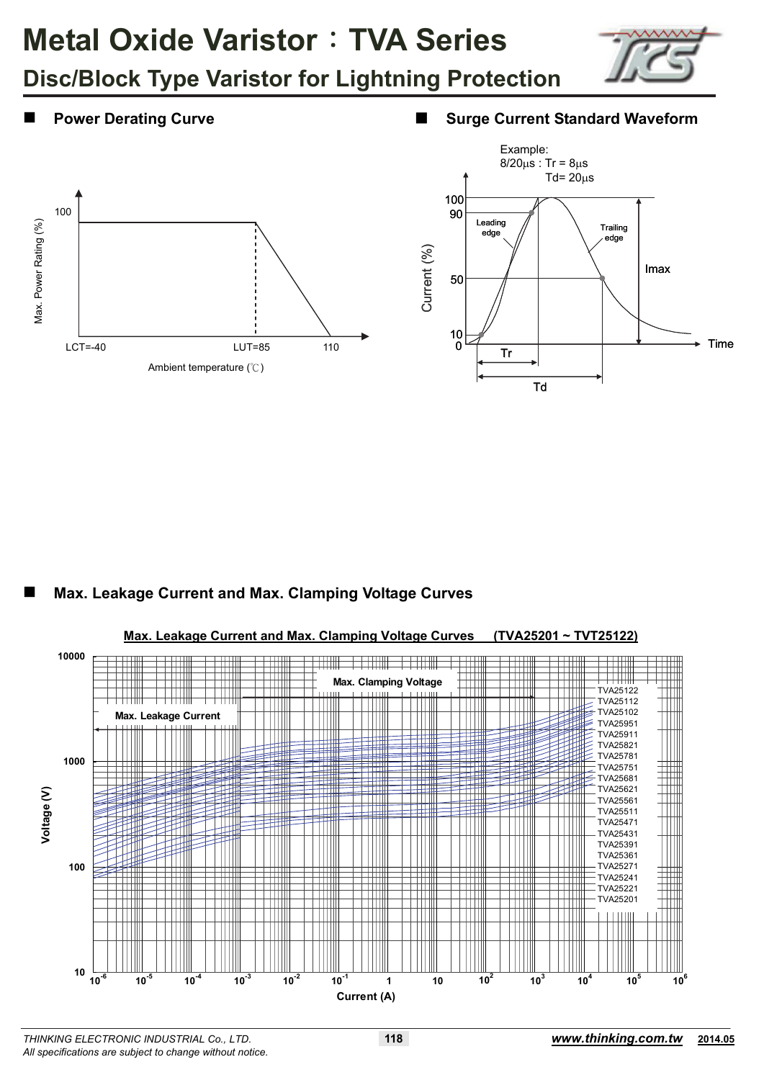



### **Power Derating Curve ■ Surge Current Standard Waveform**





### **Max. Leakage Current and Max. Clamping Voltage Curves**

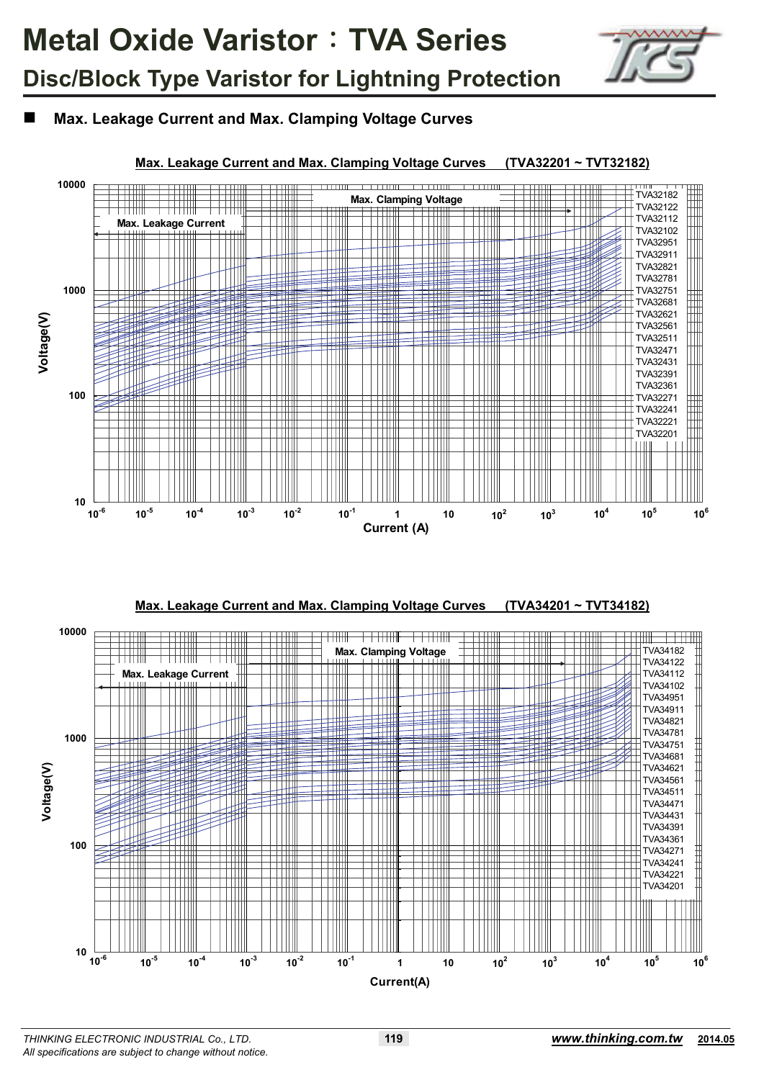

**Max. Leakage Current and Max. Clamping Voltage Curves** 



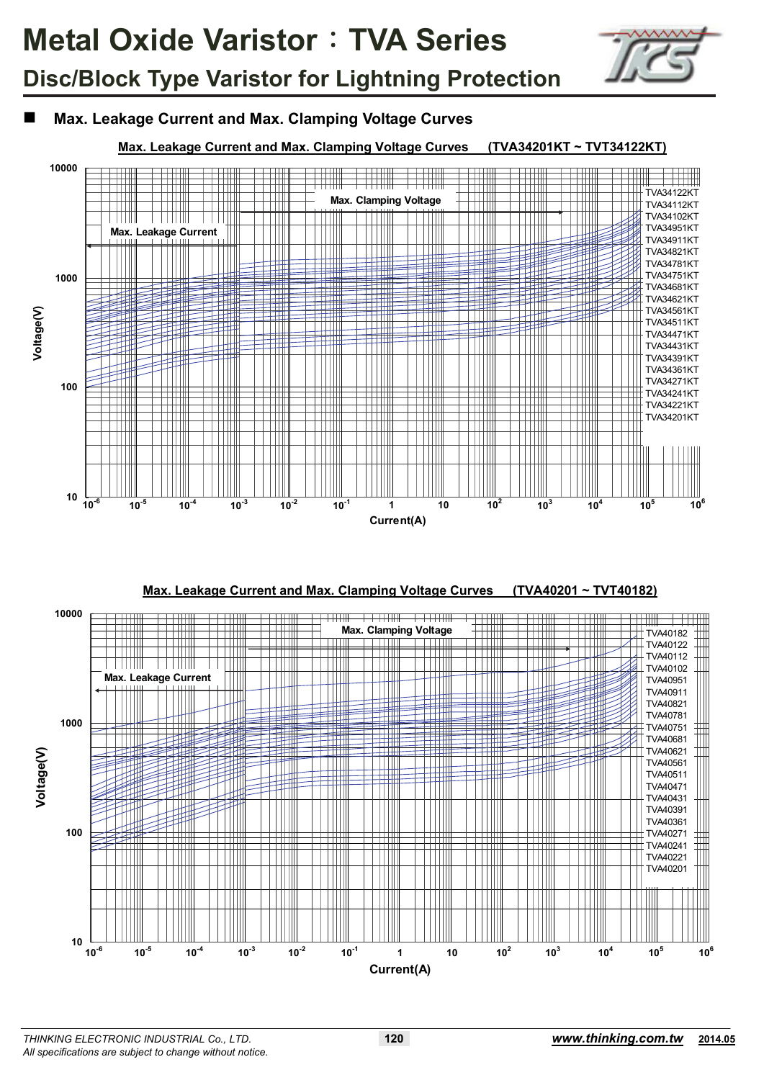

## **Max. Leakage Current and Max. Clamping Voltage Curves**

### **Max. Leakage Current and Max. Clamping Voltage Curves (TVA34201KT ~ TVT34122KT)**





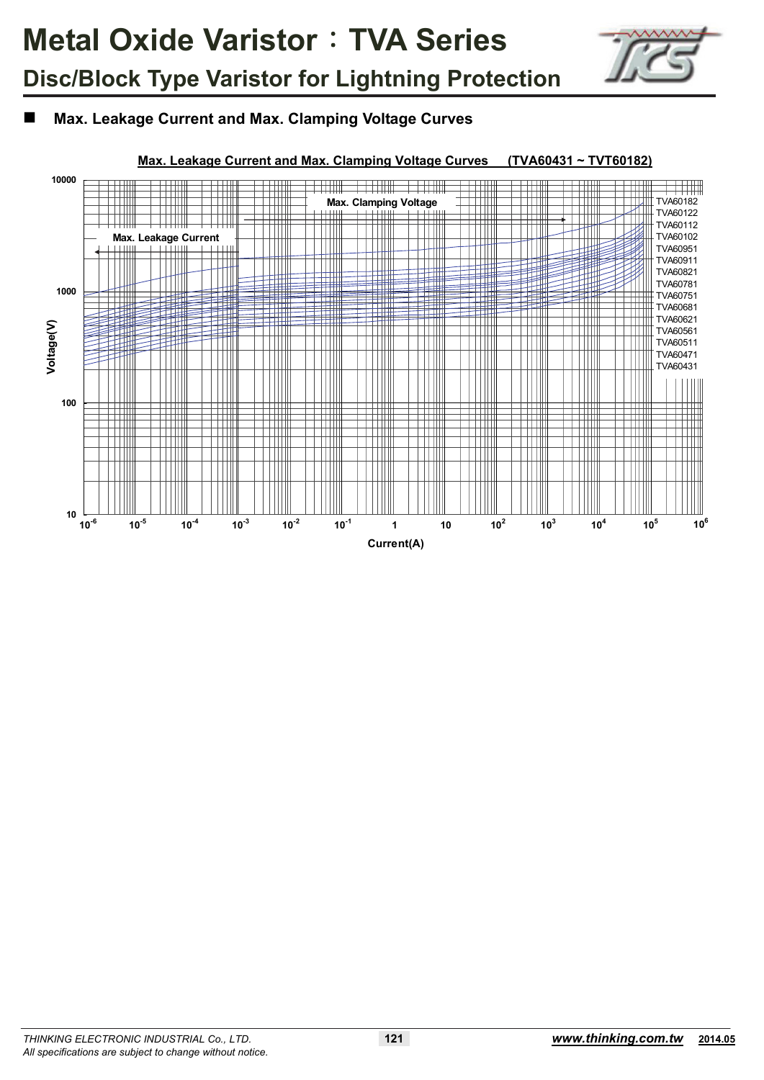

## **Max. Leakage Current and Max. Clamping Voltage Curves**

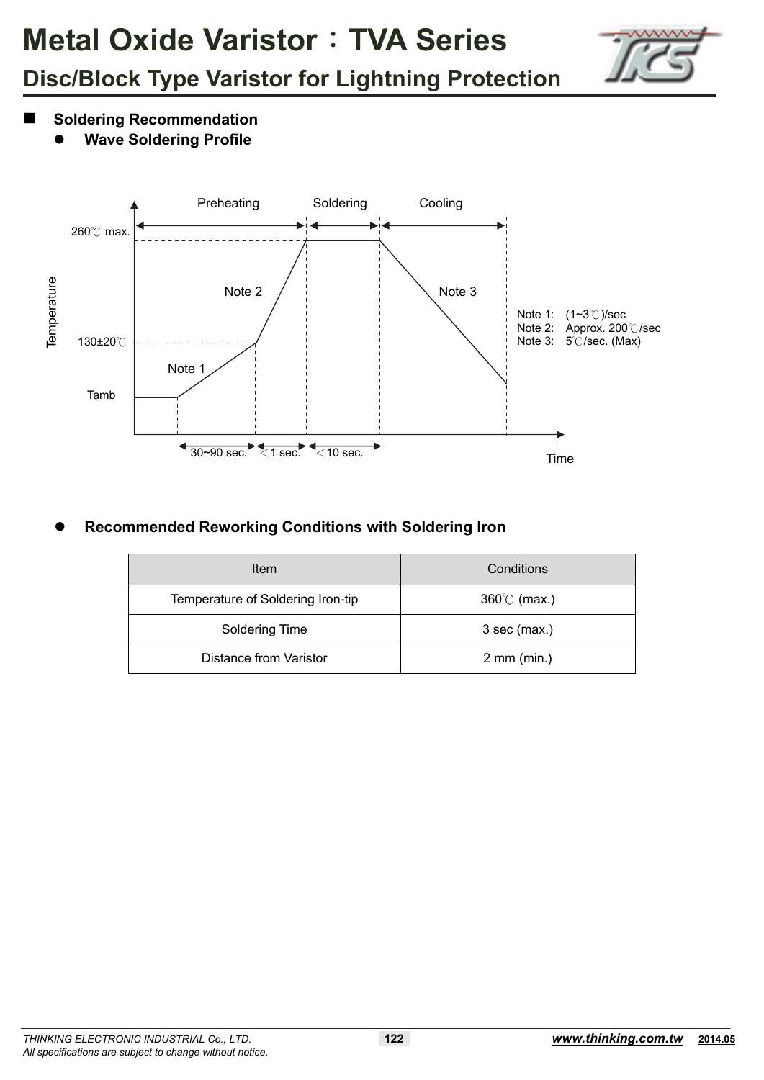

- **Soldering Recommendation** 
	- **Wave Soldering Profile**



## **Recommended Reworking Conditions with Soldering Iron**

| Item                              | Conditions            |
|-----------------------------------|-----------------------|
| Temperature of Soldering Iron-tip | $360^{\circ}$ (max.)  |
| Soldering Time                    | $3$ sec (max.)        |
| <b>Distance from Varistor</b>     | $2 \text{ mm (min.)}$ |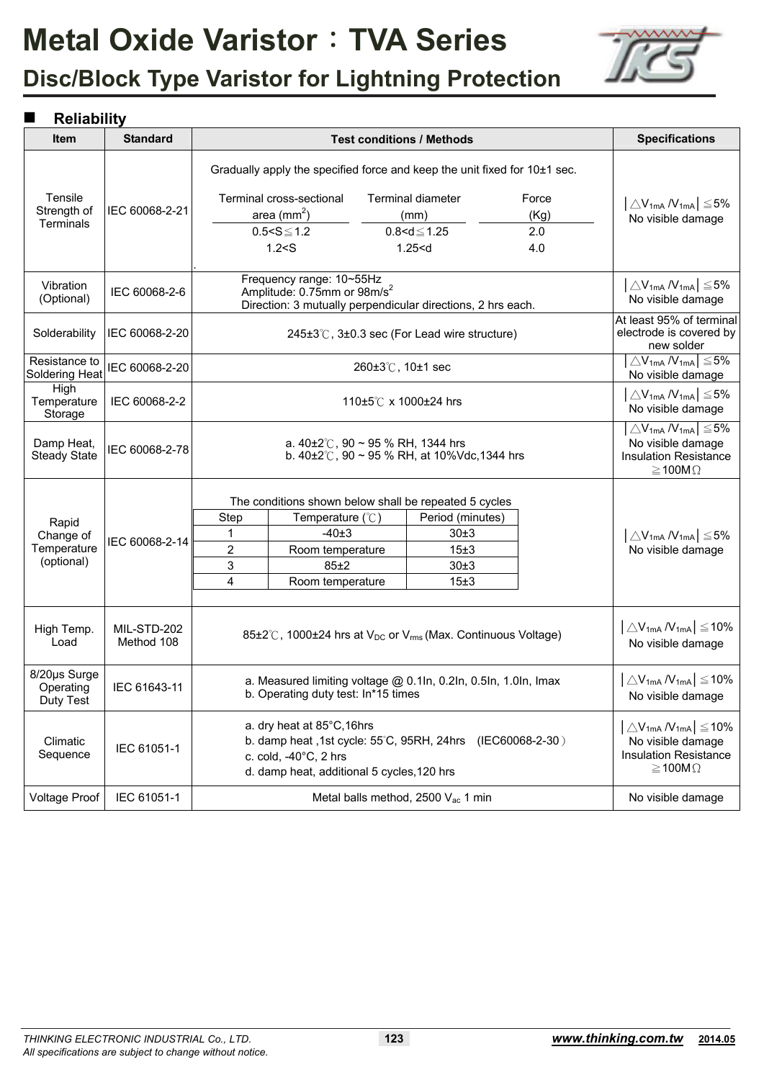

## **Disc/Block Type Varistor for Lightning Protection**

### **Reliability**

| Item                                   | <b>Standard</b>           |   |                                                                                                                                                                 |                  | <b>Test conditions / Methods</b>            |                                                                           | <b>Specifications</b>                                                         |  |  |  |
|----------------------------------------|---------------------------|---|-----------------------------------------------------------------------------------------------------------------------------------------------------------------|------------------|---------------------------------------------|---------------------------------------------------------------------------|-------------------------------------------------------------------------------|--|--|--|
|                                        |                           |   |                                                                                                                                                                 |                  |                                             | Gradually apply the specified force and keep the unit fixed for 10±1 sec. |                                                                               |  |  |  |
| Tensile                                |                           |   | Terminal cross-sectional                                                                                                                                        |                  | <b>Terminal diameter</b>                    | Force                                                                     | $ \triangle V_{1mA} N_{1mA}  \leq 5\%$                                        |  |  |  |
| Strength of                            | IEC 60068-2-21            |   | area $(mm^2)$                                                                                                                                                   |                  | (mm)                                        | (Kg)                                                                      | No visible damage                                                             |  |  |  |
| Terminals                              |                           |   | $0.5 < S \le 1.2$                                                                                                                                               |                  | $0.8 < d \le 1.25$                          | 2.0                                                                       |                                                                               |  |  |  |
|                                        |                           |   | 1.2 < S                                                                                                                                                         |                  | 1.25 < d                                    | 4.0                                                                       |                                                                               |  |  |  |
| Vibration<br>(Optional)                | IEC 60068-2-6             |   | Frequency range: 10~55Hz<br>Amplitude: 0.75mm or 98m/s <sup>2</sup><br>Direction: 3 mutually perpendicular directions, 2 hrs each.                              |                  |                                             |                                                                           | $ \triangle \rm V_{1mA}$ / $\rm V_{1mA} \leq 5\%$<br>No visible damage        |  |  |  |
| Solderability                          | IEC 60068-2-20            |   |                                                                                                                                                                 |                  | 245±3℃, 3±0.3 sec (For Lead wire structure) |                                                                           | At least 95% of terminal<br>electrode is covered by<br>new solder             |  |  |  |
| Resistance to<br>Soldering Heat        | IEC 60068-2-20            |   |                                                                                                                                                                 | 260±3℃, 10±1 sec |                                             |                                                                           | $\triangle V_{1mA} N_{1mA}$ $\leq$ 5%<br>No visible damage                    |  |  |  |
| High<br>Temperature<br>Storage         | IEC 60068-2-2             |   |                                                                                                                                                                 |                  | 110±5℃ x 1000±24 hrs                        |                                                                           | $\triangle$ V <sub>1mA</sub> /V <sub>1mA</sub> $\leq$ 5%<br>No visible damage |  |  |  |
| Damp Heat,<br><b>Steady State</b>      | IEC 60068-2-78            |   | a. $40\pm2\degree$ C, 90 ~ 95 % RH, 1344 hrs<br>b. $40\pm2^{\circ}$ C, 90 ~ 95 % RH, at 10%Vdc, 1344 hrs                                                        |                  |                                             |                                                                           |                                                                               |  |  |  |
|                                        |                           |   | The conditions shown below shall be repeated 5 cycles                                                                                                           |                  |                                             |                                                                           |                                                                               |  |  |  |
| Rapid                                  |                           |   | Step<br>Temperature $(\mathcal{C})$<br>Period (minutes)                                                                                                         |                  |                                             |                                                                           |                                                                               |  |  |  |
| Change of                              |                           | 1 | $-40±3$<br>30±3                                                                                                                                                 |                  |                                             |                                                                           |                                                                               |  |  |  |
| Temperature                            | IEC 60068-2-14            | 2 | Room temperature<br>15±3                                                                                                                                        |                  |                                             |                                                                           |                                                                               |  |  |  |
| (optional)                             |                           | 3 | 85±2                                                                                                                                                            |                  |                                             |                                                                           |                                                                               |  |  |  |
|                                        |                           | 4 | 15±3<br>Room temperature                                                                                                                                        |                  |                                             |                                                                           |                                                                               |  |  |  |
| High Temp.<br>Load                     | MIL-STD-202<br>Method 108 |   | 85±2℃, 1000±24 hrs at V <sub>DC</sub> or V <sub>rms</sub> (Max. Continuous Voltage)                                                                             |                  |                                             |                                                                           | $\vert \triangle V_{1mA} N_{1mA} \vert \leq 10\%$<br>No visible damage        |  |  |  |
| 8/20µs Surge<br>Operating<br>Duty Test | IEC 61643-11              |   | a. Measured limiting voltage @ 0.1In, 0.2In, 0.5In, 1.0In, Imax<br>b. Operating duty test: In*15 times                                                          |                  |                                             |                                                                           | $ \triangle V_{1mA} N_{1mA}  \leq 10\%$<br>No visible damage                  |  |  |  |
| Climatic<br>Sequence                   | IEC 61051-1               |   | a. dry heat at 85°C, 16hrs<br>b. damp heat, 1st cycle: 55°C, 95RH, 24hrs (IEC60068-2-30)<br>c. cold, -40°C, 2 hrs<br>d. damp heat, additional 5 cycles, 120 hrs |                  |                                             |                                                                           |                                                                               |  |  |  |
| <b>Voltage Proof</b>                   | IEC 61051-1               |   | Metal balls method, 2500 Vac 1 min                                                                                                                              |                  |                                             |                                                                           |                                                                               |  |  |  |